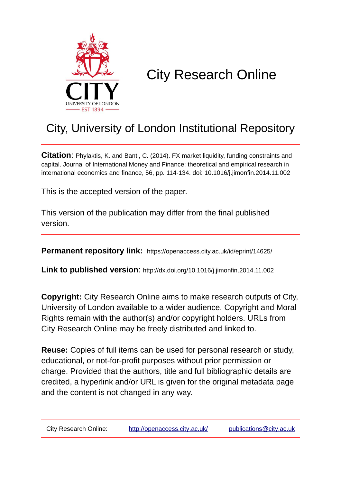

# City Research Online

## City, University of London Institutional Repository

**Citation**: Phylaktis, K. and Banti, C. (2014). FX market liquidity, funding constraints and capital. Journal of International Money and Finance: theoretical and empirical research in international economics and finance, 56, pp. 114-134. doi: 10.1016/j.jimonfin.2014.11.002

This is the accepted version of the paper.

This version of the publication may differ from the final published version.

**Permanent repository link:** https://openaccess.city.ac.uk/id/eprint/14625/

**Link to published version**: http://dx.doi.org/10.1016/j.jimonfin.2014.11.002

**Copyright:** City Research Online aims to make research outputs of City, University of London available to a wider audience. Copyright and Moral Rights remain with the author(s) and/or copyright holders. URLs from City Research Online may be freely distributed and linked to.

**Reuse:** Copies of full items can be used for personal research or study, educational, or not-for-profit purposes without prior permission or charge. Provided that the authors, title and full bibliographic details are credited, a hyperlink and/or URL is given for the original metadata page and the content is not changed in any way.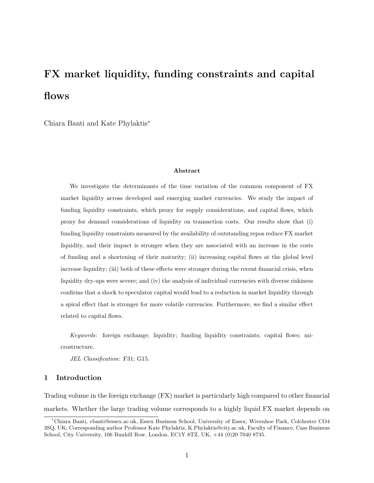## FX market liquidity, funding constraints and capital flows

Chiara Banti and Kate Phylaktis<sup>∗</sup>

## Abstract

We investigate the determinants of the time variation of the common component of FX market liquidity across developed and emerging market currencies. We study the impact of funding liquidity constraints, which proxy for supply considerations, and capital flows, which proxy for demand considerations of liquidity on transaction costs. Our results show that (i) funding liquidity constraints measured by the availability of outstanding repos reduce FX market liquidity, and their impact is stronger when they are associated with an increase in the costs of funding and a shortening of their maturity; (ii) increasing capital flows at the global level increase liquidity; (iii) both of these effects were stronger during the recent financial crisis, when liquidity dry-ups were severe; and (iv) the analysis of individual currencies with diverse riskiness confirms that a shock to speculator capital would lead to a reduction in market liquidity through a spiral effect that is stronger for more volatile currencies. Furthermore, we find a similar effect related to capital flows.

Keywords: foreign exchange; liquidity; funding liquidity constraints; capital flows; microstructure.

JEL Classification: F31; G15.

## 1 Introduction

Trading volume in the foreign exchange (FX) market is particularly high compared to other financial markets. Whether the large trading volume corresponds to a highly liquid FX market depends on

<sup>∗</sup>Chiara Banti, cbanti@essex.ac.uk, Essex Business School, University of Essex, Wivenhoe Park, Colchester CO4 3SQ, UK; Corresponding author Professor Kate Phylaktis, K.Phylaktis@city.ac.uk, Faculty of Finance, Cass Business School, City University, 106 Bunhill Row, London, EC1Y 8TZ, UK, +44 (0)20 7040 8735.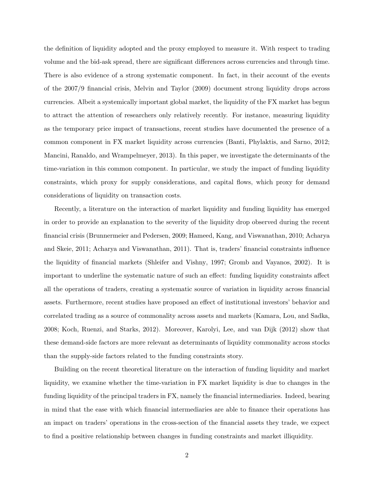the definition of liquidity adopted and the proxy employed to measure it. With respect to trading volume and the bid-ask spread, there are significant differences across currencies and through time. There is also evidence of a strong systematic component. In fact, in their account of the events of the 2007/9 financial crisis, Melvin and Taylor (2009) document strong liquidity drops across currencies. Albeit a systemically important global market, the liquidity of the FX market has begun to attract the attention of researchers only relatively recently. For instance, measuring liquidity as the temporary price impact of transactions, recent studies have documented the presence of a common component in FX market liquidity across currencies (Banti, Phylaktis, and Sarno, 2012; Mancini, Ranaldo, and Wrampelmeyer, 2013). In this paper, we investigate the determinants of the time-variation in this common component. In particular, we study the impact of funding liquidity constraints, which proxy for supply considerations, and capital flows, which proxy for demand considerations of liquidity on transaction costs.

Recently, a literature on the interaction of market liquidity and funding liquidity has emerged in order to provide an explanation to the severity of the liquidity drop observed during the recent financial crisis (Brunnermeier and Pedersen, 2009; Hameed, Kang, and Viswanathan, 2010; Acharya and Skeie, 2011; Acharya and Viswanathan, 2011). That is, traders' financial constraints influence the liquidity of financial markets (Shleifer and Vishny, 1997; Gromb and Vayanos, 2002). It is important to underline the systematic nature of such an effect: funding liquidity constraints affect all the operations of traders, creating a systematic source of variation in liquidity across financial assets. Furthermore, recent studies have proposed an effect of institutional investors' behavior and correlated trading as a source of commonality across assets and markets (Kamara, Lou, and Sadka, 2008; Koch, Ruenzi, and Starks, 2012). Moreover, Karolyi, Lee, and van Dijk (2012) show that these demand-side factors are more relevant as determinants of liquidity commonality across stocks than the supply-side factors related to the funding constraints story.

Building on the recent theoretical literature on the interaction of funding liquidity and market liquidity, we examine whether the time-variation in FX market liquidity is due to changes in the funding liquidity of the principal traders in FX, namely the financial intermediaries. Indeed, bearing in mind that the ease with which financial intermediaries are able to finance their operations has an impact on traders' operations in the cross-section of the financial assets they trade, we expect to find a positive relationship between changes in funding constraints and market illiquidity.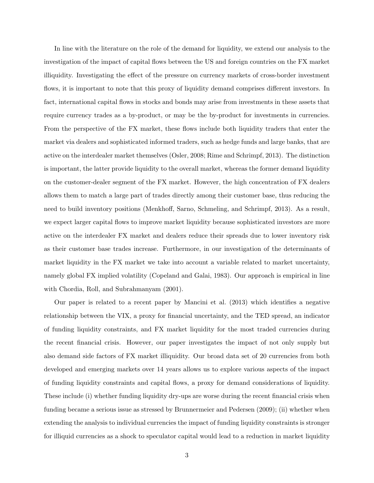In line with the literature on the role of the demand for liquidity, we extend our analysis to the investigation of the impact of capital flows between the US and foreign countries on the FX market illiquidity. Investigating the effect of the pressure on currency markets of cross-border investment flows, it is important to note that this proxy of liquidity demand comprises different investors. In fact, international capital flows in stocks and bonds may arise from investments in these assets that require currency trades as a by-product, or may be the by-product for investments in currencies. From the perspective of the FX market, these flows include both liquidity traders that enter the market via dealers and sophisticated informed traders, such as hedge funds and large banks, that are active on the interdealer market themselves (Osler, 2008; Rime and Schrimpf, 2013). The distinction is important, the latter provide liquidity to the overall market, whereas the former demand liquidity on the customer-dealer segment of the FX market. However, the high concentration of FX dealers allows them to match a large part of trades directly among their customer base, thus reducing the need to build inventory positions (Menkhoff, Sarno, Schmeling, and Schrimpf, 2013). As a result, we expect larger capital flows to improve market liquidity because sophisticated investors are more active on the interdealer FX market and dealers reduce their spreads due to lower inventory risk as their customer base trades increase. Furthermore, in our investigation of the determinants of market liquidity in the FX market we take into account a variable related to market uncertainty, namely global FX implied volatility (Copeland and Galai, 1983). Our approach is empirical in line with Chordia, Roll, and Subrahmanyam (2001).

Our paper is related to a recent paper by Mancini et al. (2013) which identifies a negative relationship between the VIX, a proxy for financial uncertainty, and the TED spread, an indicator of funding liquidity constraints, and FX market liquidity for the most traded currencies during the recent financial crisis. However, our paper investigates the impact of not only supply but also demand side factors of FX market illiquidity. Our broad data set of 20 currencies from both developed and emerging markets over 14 years allows us to explore various aspects of the impact of funding liquidity constraints and capital flows, a proxy for demand considerations of liquidity. These include (i) whether funding liquidity dry-ups are worse during the recent financial crisis when funding became a serious issue as stressed by Brunnermeier and Pedersen (2009); (ii) whether when extending the analysis to individual currencies the impact of funding liquidity constraints is stronger for illiquid currencies as a shock to speculator capital would lead to a reduction in market liquidity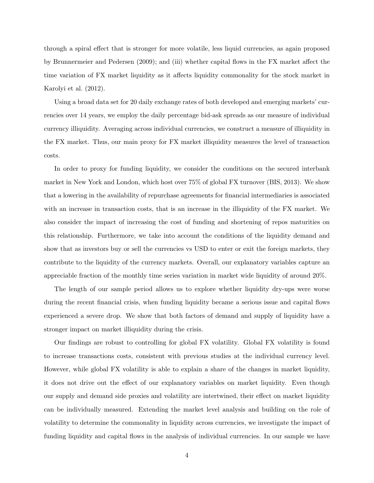through a spiral effect that is stronger for more volatile, less liquid currencies, as again proposed by Brunnermeier and Pedersen (2009); and (iii) whether capital flows in the FX market affect the time variation of FX market liquidity as it affects liquidity commonality for the stock market in Karolyi et al. (2012).

Using a broad data set for 20 daily exchange rates of both developed and emerging markets' currencies over 14 years, we employ the daily percentage bid-ask spreads as our measure of individual currency illiquidity. Averaging across individual currencies, we construct a measure of illiquidity in the FX market. Thus, our main proxy for FX market illiquidity measures the level of transaction costs.

In order to proxy for funding liquidity, we consider the conditions on the secured interbank market in New York and London, which host over 75% of global FX turnover (BIS, 2013). We show that a lowering in the availability of repurchase agreements for financial intermediaries is associated with an increase in transaction costs, that is an increase in the illiquidity of the FX market. We also consider the impact of increasing the cost of funding and shortening of repos maturities on this relationship. Furthermore, we take into account the conditions of the liquidity demand and show that as investors buy or sell the currencies vs USD to enter or exit the foreign markets, they contribute to the liquidity of the currency markets. Overall, our explanatory variables capture an appreciable fraction of the monthly time series variation in market wide liquidity of around 20%.

The length of our sample period allows us to explore whether liquidity dry-ups were worse during the recent financial crisis, when funding liquidity became a serious issue and capital flows experienced a severe drop. We show that both factors of demand and supply of liquidity have a stronger impact on market illiquidity during the crisis.

Our findings are robust to controlling for global FX volatility. Global FX volatility is found to increase transactions costs, consistent with previous studies at the individual currency level. However, while global FX volatility is able to explain a share of the changes in market liquidity, it does not drive out the effect of our explanatory variables on market liquidity. Even though our supply and demand side proxies and volatility are intertwined, their effect on market liquidity can be individually measured. Extending the market level analysis and building on the role of volatility to determine the commonality in liquidity across currencies, we investigate the impact of funding liquidity and capital flows in the analysis of individual currencies. In our sample we have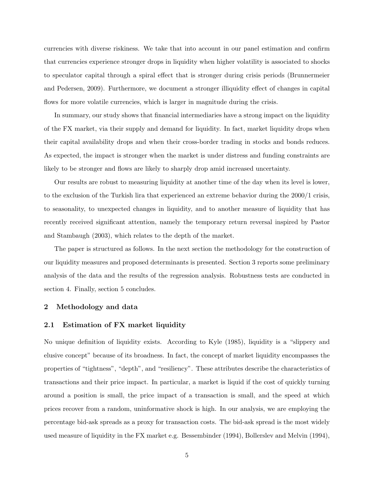currencies with diverse riskiness. We take that into account in our panel estimation and confirm that currencies experience stronger drops in liquidity when higher volatility is associated to shocks to speculator capital through a spiral effect that is stronger during crisis periods (Brunnermeier and Pedersen, 2009). Furthermore, we document a stronger illiquidity effect of changes in capital flows for more volatile currencies, which is larger in magnitude during the crisis.

In summary, our study shows that financial intermediaries have a strong impact on the liquidity of the FX market, via their supply and demand for liquidity. In fact, market liquidity drops when their capital availability drops and when their cross-border trading in stocks and bonds reduces. As expected, the impact is stronger when the market is under distress and funding constraints are likely to be stronger and flows are likely to sharply drop amid increased uncertainty.

Our results are robust to measuring liquidity at another time of the day when its level is lower, to the exclusion of the Turkish lira that experienced an extreme behavior during the 2000/1 crisis, to seasonality, to unexpected changes in liquidity, and to another measure of liquidity that has recently received significant attention, namely the temporary return reversal inspired by Pastor and Stambaugh (2003), which relates to the depth of the market.

The paper is structured as follows. In the next section the methodology for the construction of our liquidity measures and proposed determinants is presented. Section 3 reports some preliminary analysis of the data and the results of the regression analysis. Robustness tests are conducted in section 4. Finally, section 5 concludes.

## 2 Methodology and data

## 2.1 Estimation of FX market liquidity

No unique definition of liquidity exists. According to Kyle (1985), liquidity is a "slippery and elusive concept" because of its broadness. In fact, the concept of market liquidity encompasses the properties of "tightness", "depth", and "resiliency". These attributes describe the characteristics of transactions and their price impact. In particular, a market is liquid if the cost of quickly turning around a position is small, the price impact of a transaction is small, and the speed at which prices recover from a random, uninformative shock is high. In our analysis, we are employing the percentage bid-ask spreads as a proxy for transaction costs. The bid-ask spread is the most widely used measure of liquidity in the FX market e.g. Bessembinder (1994), Bollerslev and Melvin (1994),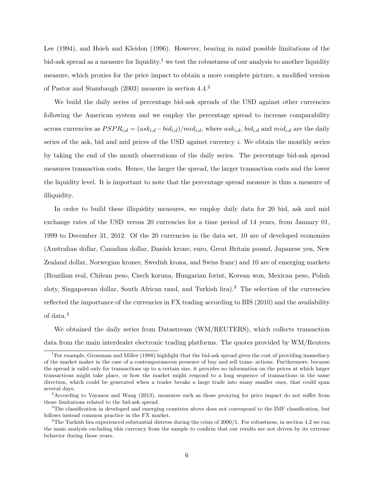Lee (1994), and Hsieh and Kleidon (1996). However, bearing in mind possible limitations of the bid-ask spread as a measure for liquidity,<sup>1</sup> we test the robustness of our analysis to another liquidity measure, which proxies for the price impact to obtain a more complete picture, a modified version of Pastor and Stambaugh (2003) measure in section 4.4.<sup>2</sup>

We build the daily series of percentage bid-ask spreads of the USD against other currencies following the American system and we employ the percentage spread to increase comparability across currencies as  $PSPR_{i,d} = (ask_{i,d} - bid_{i,d})/mid_{i,d}$ , where  $ask_{i,d}$ ,  $bid_{i,d}$  and  $mid_{i,d}$  are the daily series of the ask, bid and mid prices of the USD against currency i. We obtain the monthly series by taking the end of the month observations of the daily series. The percentage bid-ask spread measures transaction costs. Hence, the larger the spread, the larger transaction costs and the lower the liquidity level. It is important to note that the percentage spread measure is thus a measure of illiquidity.

In order to build these illiquidity measures, we employ daily data for 20 bid, ask and mid exchange rates of the USD versus 20 currencies for a time period of 14 years, from January 01, 1999 to December 31, 2012. Of the 20 currencies in the data set, 10 are of developed economies (Australian dollar, Canadian dollar, Danish krone, euro, Great Britain pound, Japanese yen, New Zealand dollar, Norwegian kroner, Swedish krona, and Swiss franc) and 10 are of emerging markets (Brazilian real, Chilean peso, Czech koruna, Hungarian forint, Korean won, Mexican peso, Polish zloty, Singaporean dollar, South African rand, and Turkish lira).<sup>3</sup> The selection of the currencies reflected the importance of the currencies in FX trading according to BIS (2010) and the availability of data.<sup>4</sup>

We obtained the daily series from Datastream (WM/REUTERS), which collects transaction data from the main interdealer electronic trading platforms. The quotes provided by WM/Reuters

<sup>&</sup>lt;sup>1</sup>For example, Grossman and Miller (1988) highlight that the bid-ask spread gives the cost of providing immediacy of the market maker in the case of a contemporaneous presence of buy and sell trans- actions. Furthermore, because the spread is valid only for transactions up to a certain size, it provides no information on the prices at which larger transactions might take place, or how the market might respond to a long sequence of transactions in the same direction, which could be generated when a trader breaks a large trade into many smaller ones, that could span several days.

<sup>&</sup>lt;sup>2</sup> According to Vayanos and Wang (2013), measures such as those proxying for price impact do not suffer from those limitations related to the bid-ask spread.

<sup>&</sup>lt;sup>3</sup>The classification in developed and emerging countries above does not correspond to the IMF classification, but follows instead common practice in the FX market.

<sup>&</sup>lt;sup>4</sup>The Turkish lira experienced substantial distress during the crisis of  $2000/1$ . For robustness, in section 4.2 we run the main analysis excluding this currency from the sample to confirm that our results are not driven by its extreme behavior during those years.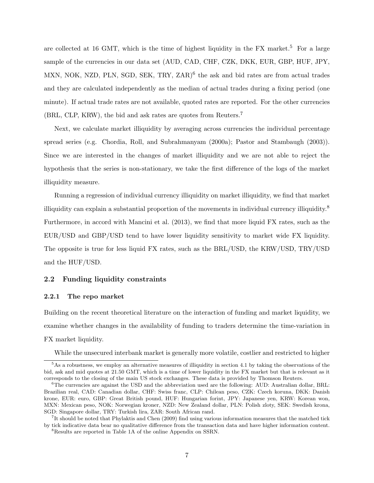are collected at 16 GMT, which is the time of highest liquidity in the FX market.<sup>5</sup> For a large sample of the currencies in our data set (AUD, CAD, CHF, CZK, DKK, EUR, GBP, HUF, JPY, MXN, NOK, NZD, PLN, SGD, SEK, TRY, ZAR)<sup>6</sup> the ask and bid rates are from actual trades and they are calculated independently as the median of actual trades during a fixing period (one minute). If actual trade rates are not available, quoted rates are reported. For the other currencies (BRL, CLP, KRW), the bid and ask rates are quotes from Reuters.<sup>7</sup>

Next, we calculate market illiquidity by averaging across currencies the individual percentage spread series (e.g. Chordia, Roll, and Subrahmanyam (2000a); Pastor and Stambaugh (2003)). Since we are interested in the changes of market illiquidity and we are not able to reject the hypothesis that the series is non-stationary, we take the first difference of the logs of the market illiquidity measure.

Running a regression of individual currency illiquidity on market illiquidity, we find that market illiquidity can explain a substantial proportion of the movements in individual currency illiquidity.<sup>8</sup> Furthermore, in accord with Mancini et al. (2013), we find that more liquid FX rates, such as the EUR/USD and GBP/USD tend to have lower liquidity sensitivity to market wide FX liquidity. The opposite is true for less liquid FX rates, such as the BRL/USD, the KRW/USD, TRY/USD and the HUF/USD.

## 2.2 Funding liquidity constraints

## 2.2.1 The repo market

Building on the recent theoretical literature on the interaction of funding and market liquidity, we examine whether changes in the availability of funding to traders determine the time-variation in FX market liquidity.

While the unsecured interbank market is generally more volatile, costlier and restricted to higher

 $5$ As a robustness, we employ an alternative measures of illiquidity in section 4.1 by taking the observations of the bid, ask and mid quotes at 21.50 GMT, which is a time of lower liquidity in the FX market but that is relevant as it corresponds to the closing of the main US stock exchanges. These data is provided by Thomson Reuters.

 ${}^{6}$ The currencies are against the USD and the abbreviation used are the following: AUD: Australian dollar, BRL: Brazilian real, CAD: Canadian dollar, CHF: Swiss franc, CLP: Chilean peso, CZK: Czech koruna, DKK: Danish krone, EUR: euro, GBP: Great British pound, HUF: Hungarian forint, JPY: Japanese yen, KRW: Korean won, MXN: Mexican peso, NOK: Norwegian kroner, NZD: New Zealand dollar, PLN: Polish zloty, SEK: Swedish krona, SGD: Singapore dollar, TRY: Turkish lira, ZAR: South African rand.

<sup>&</sup>lt;sup>7</sup>It should be noted that Phylaktis and Chen (2009) find using various information measures that the matched tick by tick indicative data bear no qualitative difference from the transaction data and have higher information content. <sup>8</sup>Results are reported in Table 1A of the online Appendix on SSRN.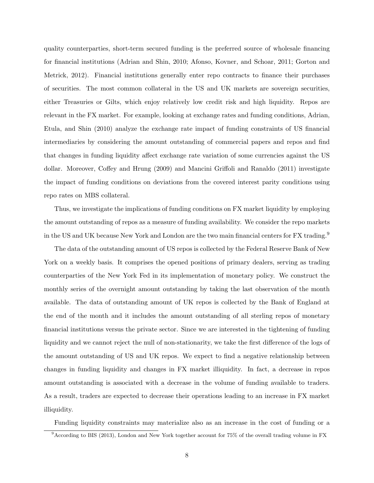quality counterparties, short-term secured funding is the preferred source of wholesale financing for financial institutions (Adrian and Shin, 2010; Afonso, Kovner, and Schoar, 2011; Gorton and Metrick, 2012). Financial institutions generally enter repo contracts to finance their purchases of securities. The most common collateral in the US and UK markets are sovereign securities, either Treasuries or Gilts, which enjoy relatively low credit risk and high liquidity. Repos are relevant in the FX market. For example, looking at exchange rates and funding conditions, Adrian, Etula, and Shin (2010) analyze the exchange rate impact of funding constraints of US financial intermediaries by considering the amount outstanding of commercial papers and repos and find that changes in funding liquidity affect exchange rate variation of some currencies against the US dollar. Moreover, Coffey and Hrung (2009) and Mancini Griffoli and Ranaldo (2011) investigate the impact of funding conditions on deviations from the covered interest parity conditions using repo rates on MBS collateral.

Thus, we investigate the implications of funding conditions on FX market liquidity by employing the amount outstanding of repos as a measure of funding availability. We consider the repo markets in the US and UK because New York and London are the two main financial centers for FX trading.<sup>9</sup>

The data of the outstanding amount of US repos is collected by the Federal Reserve Bank of New York on a weekly basis. It comprises the opened positions of primary dealers, serving as trading counterparties of the New York Fed in its implementation of monetary policy. We construct the monthly series of the overnight amount outstanding by taking the last observation of the month available. The data of outstanding amount of UK repos is collected by the Bank of England at the end of the month and it includes the amount outstanding of all sterling repos of monetary financial institutions versus the private sector. Since we are interested in the tightening of funding liquidity and we cannot reject the null of non-stationarity, we take the first difference of the logs of the amount outstanding of US and UK repos. We expect to find a negative relationship between changes in funding liquidity and changes in FX market illiquidity. In fact, a decrease in repos amount outstanding is associated with a decrease in the volume of funding available to traders. As a result, traders are expected to decrease their operations leading to an increase in FX market illiquidity.

Funding liquidity constraints may materialize also as an increase in the cost of funding or a

<sup>9</sup>According to BIS (2013), London and New York together account for 75% of the overall trading volume in FX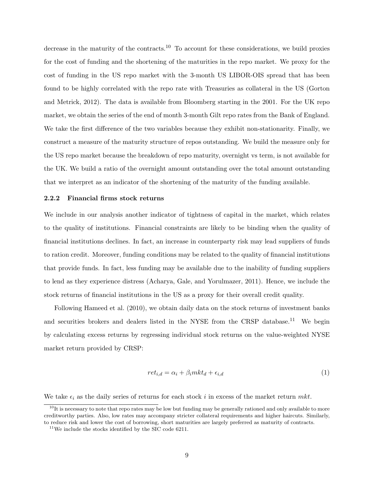decrease in the maturity of the contracts.<sup>10</sup> To account for these considerations, we build proxies for the cost of funding and the shortening of the maturities in the repo market. We proxy for the cost of funding in the US repo market with the 3-month US LIBOR-OIS spread that has been found to be highly correlated with the repo rate with Treasuries as collateral in the US (Gorton and Metrick, 2012). The data is available from Bloomberg starting in the 2001. For the UK repo market, we obtain the series of the end of month 3-month Gilt repo rates from the Bank of England. We take the first difference of the two variables because they exhibit non-stationarity. Finally, we construct a measure of the maturity structure of repos outstanding. We build the measure only for the US repo market because the breakdown of repo maturity, overnight vs term, is not available for the UK. We build a ratio of the overnight amount outstanding over the total amount outstanding that we interpret as an indicator of the shortening of the maturity of the funding available.

#### 2.2.2 Financial firms stock returns

We include in our analysis another indicator of tightness of capital in the market, which relates to the quality of institutions. Financial constraints are likely to be binding when the quality of financial institutions declines. In fact, an increase in counterparty risk may lead suppliers of funds to ration credit. Moreover, funding conditions may be related to the quality of financial institutions that provide funds. In fact, less funding may be available due to the inability of funding suppliers to lend as they experience distress (Acharya, Gale, and Yorulmazer, 2011). Hence, we include the stock returns of financial institutions in the US as a proxy for their overall credit quality.

Following Hameed et al. (2010), we obtain daily data on the stock returns of investment banks and securities brokers and dealers listed in the NYSE from the CRSP database.<sup>11</sup> We begin by calculating excess returns by regressing individual stock returns on the value-weighted NYSE market return provided by CRSP:

$$
ret_{i,d} = \alpha_i + \beta_i mkt_d + \epsilon_{i,d} \tag{1}
$$

We take  $\epsilon_i$  as the daily series of returns for each stock i in excess of the market return mkt.

 $10$ It is necessary to note that repo rates may be low but funding may be generally rationed and only available to more creditworthy parties. Also, low rates may accompany stricter collateral requirements and higher haircuts. Similarly, to reduce risk and lower the cost of borrowing, short maturities are largely preferred as maturity of contracts.

 $11$ We include the stocks identified by the SIC code 6211.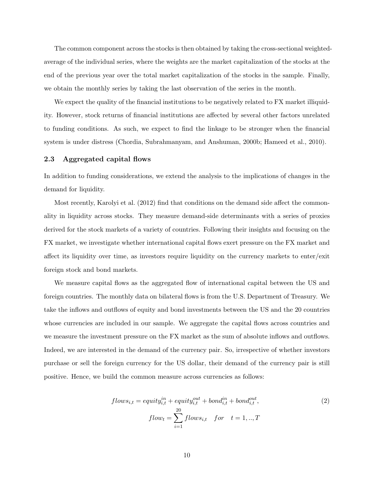The common component across the stocks is then obtained by taking the cross-sectional weightedaverage of the individual series, where the weights are the market capitalization of the stocks at the end of the previous year over the total market capitalization of the stocks in the sample. Finally, we obtain the monthly series by taking the last observation of the series in the month.

We expect the quality of the financial institutions to be negatively related to FX market illiquidity. However, stock returns of financial institutions are affected by several other factors unrelated to funding conditions. As such, we expect to find the linkage to be stronger when the financial system is under distress (Chordia, Subrahmanyam, and Anshuman, 2000b; Hameed et al., 2010).

## 2.3 Aggregated capital flows

In addition to funding considerations, we extend the analysis to the implications of changes in the demand for liquidity.

Most recently, Karolyi et al. (2012) find that conditions on the demand side affect the commonality in liquidity across stocks. They measure demand-side determinants with a series of proxies derived for the stock markets of a variety of countries. Following their insights and focusing on the FX market, we investigate whether international capital flows exert pressure on the FX market and affect its liquidity over time, as investors require liquidity on the currency markets to enter/exit foreign stock and bond markets.

We measure capital flows as the aggregated flow of international capital between the US and foreign countries. The monthly data on bilateral flows is from the U.S. Department of Treasury. We take the inflows and outflows of equity and bond investments between the US and the 20 countries whose currencies are included in our sample. We aggregate the capital flows across countries and we measure the investment pressure on the FX market as the sum of absolute inflows and outflows. Indeed, we are interested in the demand of the currency pair. So, irrespective of whether investors purchase or sell the foreign currency for the US dollar, their demand of the currency pair is still positive. Hence, we build the common measure across currencies as follows:

$$
flows_{i,t} = equity_{i,t}^{in} + equity_{i,t}^{out} + bond_{i,t}^{in} + bond_{i,t}^{out},
$$

$$
flow_{t} = \sum_{i=1}^{20} flows_{i,t} \quad for \quad t = 1,..,T
$$
 (2)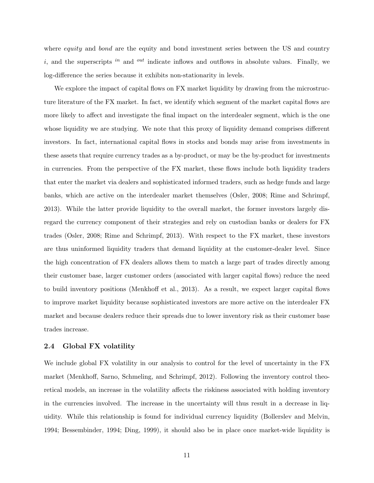where *equity* and *bond* are the equity and bond investment series between the US and country i, and the superscripts  $^{in}$  and  $^{out}$  indicate inflows and outflows in absolute values. Finally, we log-difference the series because it exhibits non-stationarity in levels.

We explore the impact of capital flows on FX market liquidity by drawing from the microstructure literature of the FX market. In fact, we identify which segment of the market capital flows are more likely to affect and investigate the final impact on the interdealer segment, which is the one whose liquidity we are studying. We note that this proxy of liquidity demand comprises different investors. In fact, international capital flows in stocks and bonds may arise from investments in these assets that require currency trades as a by-product, or may be the by-product for investments in currencies. From the perspective of the FX market, these flows include both liquidity traders that enter the market via dealers and sophisticated informed traders, such as hedge funds and large banks, which are active on the interdealer market themselves (Osler, 2008; Rime and Schrimpf, 2013). While the latter provide liquidity to the overall market, the former investors largely disregard the currency component of their strategies and rely on custodian banks or dealers for FX trades (Osler, 2008; Rime and Schrimpf, 2013). With respect to the FX market, these investors are thus uninformed liquidity traders that demand liquidity at the customer-dealer level. Since the high concentration of FX dealers allows them to match a large part of trades directly among their customer base, larger customer orders (associated with larger capital flows) reduce the need to build inventory positions (Menkhoff et al., 2013). As a result, we expect larger capital flows to improve market liquidity because sophisticated investors are more active on the interdealer FX market and because dealers reduce their spreads due to lower inventory risk as their customer base trades increase.

## 2.4 Global FX volatility

We include global FX volatility in our analysis to control for the level of uncertainty in the FX market (Menkhoff, Sarno, Schmeling, and Schrimpf, 2012). Following the inventory control theoretical models, an increase in the volatility affects the riskiness associated with holding inventory in the currencies involved. The increase in the uncertainty will thus result in a decrease in liquidity. While this relationship is found for individual currency liquidity (Bollerslev and Melvin, 1994; Bessembinder, 1994; Ding, 1999), it should also be in place once market-wide liquidity is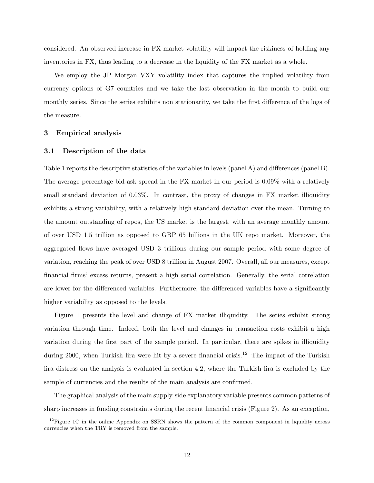considered. An observed increase in FX market volatility will impact the riskiness of holding any inventories in FX, thus leading to a decrease in the liquidity of the FX market as a whole.

We employ the JP Morgan VXY volatility index that captures the implied volatility from currency options of G7 countries and we take the last observation in the month to build our monthly series. Since the series exhibits non stationarity, we take the first difference of the logs of the measure.

#### 3 Empirical analysis

## 3.1 Description of the data

Table 1 reports the descriptive statistics of the variables in levels (panel A) and differences (panel B). The average percentage bid-ask spread in the FX market in our period is 0.09% with a relatively small standard deviation of 0.03%. In contrast, the proxy of changes in FX market illiquidity exhibits a strong variability, with a relatively high standard deviation over the mean. Turning to the amount outstanding of repos, the US market is the largest, with an average monthly amount of over USD 1.5 trillion as opposed to GBP 65 billions in the UK repo market. Moreover, the aggregated flows have averaged USD 3 trillions during our sample period with some degree of variation, reaching the peak of over USD 8 trillion in August 2007. Overall, all our measures, except financial firms' excess returns, present a high serial correlation. Generally, the serial correlation are lower for the differenced variables. Furthermore, the differenced variables have a significantly higher variability as opposed to the levels.

Figure 1 presents the level and change of FX market illiquidity. The series exhibit strong variation through time. Indeed, both the level and changes in transaction costs exhibit a high variation during the first part of the sample period. In particular, there are spikes in illiquidity during 2000, when Turkish lira were hit by a severe financial crisis.<sup>12</sup> The impact of the Turkish lira distress on the analysis is evaluated in section 4.2, where the Turkish lira is excluded by the sample of currencies and the results of the main analysis are confirmed.

The graphical analysis of the main supply-side explanatory variable presents common patterns of sharp increases in funding constraints during the recent financial crisis (Figure 2). As an exception,

 $12$ Figure 1C in the online Appendix on SSRN shows the pattern of the common component in liquidity across currencies when the TRY is removed from the sample.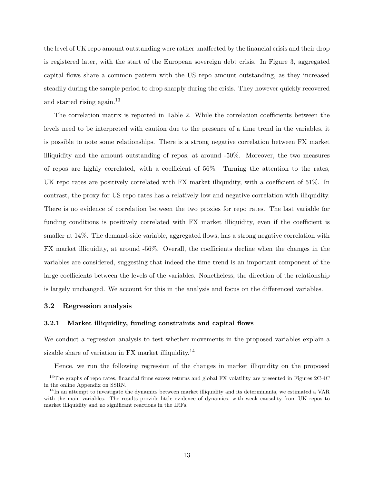the level of UK repo amount outstanding were rather unaffected by the financial crisis and their drop is registered later, with the start of the European sovereign debt crisis. In Figure 3, aggregated capital flows share a common pattern with the US repo amount outstanding, as they increased steadily during the sample period to drop sharply during the crisis. They however quickly recovered and started rising again.<sup>13</sup>

The correlation matrix is reported in Table 2. While the correlation coefficients between the levels need to be interpreted with caution due to the presence of a time trend in the variables, it is possible to note some relationships. There is a strong negative correlation between FX market illiquidity and the amount outstanding of repos, at around -50%. Moreover, the two measures of repos are highly correlated, with a coefficient of 56%. Turning the attention to the rates, UK repo rates are positively correlated with FX market illiquidity, with a coefficient of 51%. In contrast, the proxy for US repo rates has a relatively low and negative correlation with illiquidity. There is no evidence of correlation between the two proxies for repo rates. The last variable for funding conditions is positively correlated with FX market illiquidity, even if the coefficient is smaller at 14%. The demand-side variable, aggregated flows, has a strong negative correlation with FX market illiquidity, at around -56%. Overall, the coefficients decline when the changes in the variables are considered, suggesting that indeed the time trend is an important component of the large coefficients between the levels of the variables. Nonetheless, the direction of the relationship is largely unchanged. We account for this in the analysis and focus on the differenced variables.

## 3.2 Regression analysis

#### 3.2.1 Market illiquidity, funding constraints and capital flows

We conduct a regression analysis to test whether movements in the proposed variables explain a sizable share of variation in FX market illiquidity.<sup>14</sup>

Hence, we run the following regression of the changes in market illiquidity on the proposed

 $13$ The graphs of repo rates, financial firms excess returns and global FX volatility are presented in Figures 2C-4C in the online Appendix on SSRN.

 $14$ In an attempt to investigate the dynamics between market illiquidity and its determinants, we estimated a VAR with the main variables. The results provide little evidence of dynamics, with weak causality from UK repos to market illiquidity and no significant reactions in the IRFs.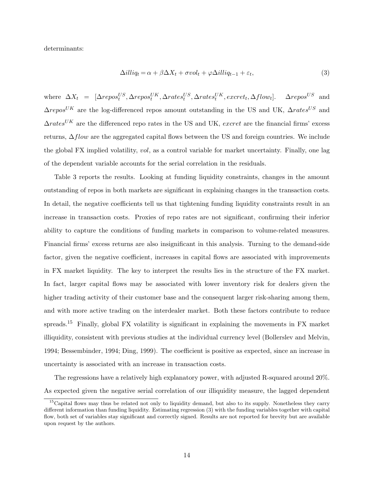determinants:

$$
\Delta illiq_t = \alpha + \beta \Delta X_t + \sigma vol_t + \varphi \Delta illiq_{t-1} + \varepsilon_t,\tag{3}
$$

where  $\Delta X_t = [\Delta repos_t^{US}, \Delta repos_t^{UK}, \Delta rate_s^{US}, \Delta rate_s^{UK}, except \Delta flow_t].$   $\Delta repos_t^{US}$  and  $\Delta repos^{UK}$  are the log-differenced repos amount outstanding in the US and UK,  $\Delta rates^{US}$  and  $\Delta \text{rates}^{UK}$  are the differenced repo rates in the US and UK, excret are the financial firms' excess returns,  $\Delta flow$  are the aggregated capital flows between the US and foreign countries. We include the global FX implied volatility, vol, as a control variable for market uncertainty. Finally, one lag of the dependent variable accounts for the serial correlation in the residuals.

Table 3 reports the results. Looking at funding liquidity constraints, changes in the amount outstanding of repos in both markets are significant in explaining changes in the transaction costs. In detail, the negative coefficients tell us that tightening funding liquidity constraints result in an increase in transaction costs. Proxies of repo rates are not significant, confirming their inferior ability to capture the conditions of funding markets in comparison to volume-related measures. Financial firms' excess returns are also insignificant in this analysis. Turning to the demand-side factor, given the negative coefficient, increases in capital flows are associated with improvements in FX market liquidity. The key to interpret the results lies in the structure of the FX market. In fact, larger capital flows may be associated with lower inventory risk for dealers given the higher trading activity of their customer base and the consequent larger risk-sharing among them, and with more active trading on the interdealer market. Both these factors contribute to reduce spreads.<sup>15</sup> Finally, global FX volatility is significant in explaining the movements in FX market illiquidity, consistent with previous studies at the individual currency level (Bollerslev and Melvin, 1994; Bessembinder, 1994; Ding, 1999). The coefficient is positive as expected, since an increase in uncertainty is associated with an increase in transaction costs.

The regressions have a relatively high explanatory power, with adjusted R-squared around 20%. As expected given the negative serial correlation of our illiquidity measure, the lagged dependent

 $15$ Capital flows may thus be related not only to liquidity demand, but also to its supply. Nonetheless they carry different information than funding liquidity. Estimating regression (3) with the funding variables together with capital flow, both set of variables stay significant and correctly signed. Results are not reported for brevity but are available upon request by the authors.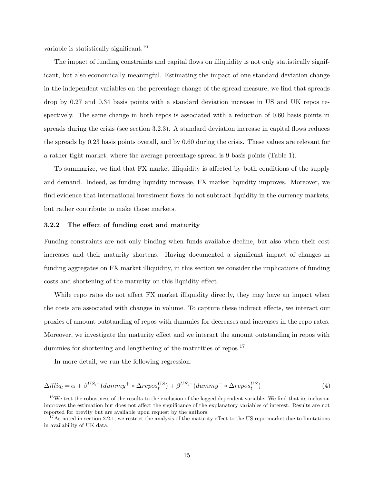variable is statistically significant.<sup>16</sup>

The impact of funding constraints and capital flows on illiquidity is not only statistically significant, but also economically meaningful. Estimating the impact of one standard deviation change in the independent variables on the percentage change of the spread measure, we find that spreads drop by 0.27 and 0.34 basis points with a standard deviation increase in US and UK repos respectively. The same change in both repos is associated with a reduction of 0.60 basis points in spreads during the crisis (see section 3.2.3). A standard deviation increase in capital flows reduces the spreads by 0.23 basis points overall, and by 0.60 during the crisis. These values are relevant for a rather tight market, where the average percentage spread is 9 basis points (Table 1).

To summarize, we find that FX market illiquidity is affected by both conditions of the supply and demand. Indeed, as funding liquidity increase, FX market liquidity improves. Moreover, we find evidence that international investment flows do not subtract liquidity in the currency markets, but rather contribute to make those markets.

## 3.2.2 The effect of funding cost and maturity

Funding constraints are not only binding when funds available decline, but also when their cost increases and their maturity shortens. Having documented a significant impact of changes in funding aggregates on FX market illiquidity, in this section we consider the implications of funding costs and shortening of the maturity on this liquidity effect.

While repo rates do not affect FX market illiquidity directly, they may have an impact when the costs are associated with changes in volume. To capture these indirect effects, we interact our proxies of amount outstanding of repos with dummies for decreases and increases in the repo rates. Moreover, we investigate the maturity effect and we interact the amount outstanding in repos with dummies for shortening and lengthening of the maturities of repos.<sup>17</sup>

In more detail, we run the following regression:

$$
\Delta illiq_t = \alpha + \beta^{US,+}(dummy^+ * \Delta repos_t^{US}) + \beta^{US,-}(dummy^- * \Delta repos_t^{US})
$$
\n
$$
\tag{4}
$$

<sup>&</sup>lt;sup>16</sup>We test the robustness of the results to the exclusion of the lagged dependent variable. We find that its inclusion improves the estimation but does not affect the significance of the explanatory variables of interest. Results are not reported for brevity but are available upon request by the authors.

<sup>&</sup>lt;sup>17</sup>As noted in section 2.2.1, we restrict the analysis of the maturity effect to the US repo market due to limitations in availability of UK data.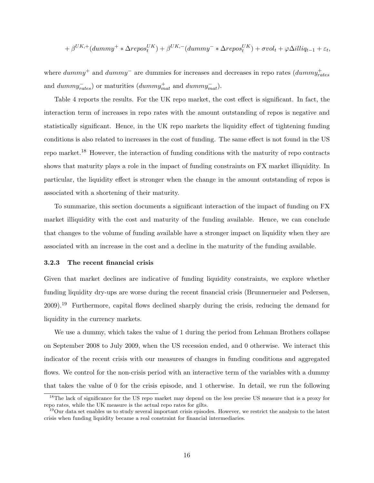$$
+\beta^{UK,+}(dummy^+ * \Delta repos_t^{UK}) + \beta^{UK,-}(dummy^- * \Delta repos_t^{UK}) + \sigma vol_t + \varphi \Delta illiq_{t-1} + \varepsilon_t,
$$

where  $dummy^+$  and  $dummy^-$  are dummies for increases and decreases in repo rates  $(dummy^+_{rates})$ and  $dumm y_{rates}^-$  or maturities  $(dumm y_{mat}^+$  and  $dumm y_{mat}^-$ .

Table 4 reports the results. For the UK repo market, the cost effect is significant. In fact, the interaction term of increases in repo rates with the amount outstanding of repos is negative and statistically significant. Hence, in the UK repo markets the liquidity effect of tightening funding conditions is also related to increases in the cost of funding. The same effect is not found in the US repo market.<sup>18</sup> However, the interaction of funding conditions with the maturity of repo contracts shows that maturity plays a role in the impact of funding constraints on FX market illiquidity. In particular, the liquidity effect is stronger when the change in the amount outstanding of repos is associated with a shortening of their maturity.

To summarize, this section documents a significant interaction of the impact of funding on FX market illiquidity with the cost and maturity of the funding available. Hence, we can conclude that changes to the volume of funding available have a stronger impact on liquidity when they are associated with an increase in the cost and a decline in the maturity of the funding available.

## 3.2.3 The recent financial crisis

Given that market declines are indicative of funding liquidity constraints, we explore whether funding liquidity dry-ups are worse during the recent financial crisis (Brunnermeier and Pedersen, 2009).<sup>19</sup> Furthermore, capital flows declined sharply during the crisis, reducing the demand for liquidity in the currency markets.

We use a dummy, which takes the value of 1 during the period from Lehman Brothers collapse on September 2008 to July 2009, when the US recession ended, and 0 otherwise. We interact this indicator of the recent crisis with our measures of changes in funding conditions and aggregated flows. We control for the non-crisis period with an interactive term of the variables with a dummy that takes the value of 0 for the crisis episode, and 1 otherwise. In detail, we run the following

<sup>&</sup>lt;sup>18</sup>The lack of significance for the US repo market may depend on the less precise US measure that is a proxy for repo rates, while the UK measure is the actual repo rates for gilts.

<sup>&</sup>lt;sup>19</sup>Our data set enables us to study several important crisis episodes. However, we restrict the analysis to the latest crisis when funding liquidity became a real constraint for financial intermediaries.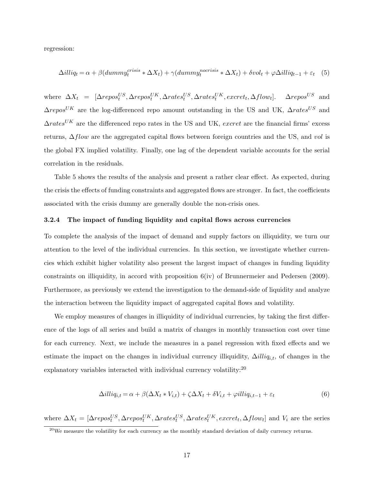regression:

$$
\Delta illiq_t = \alpha + \beta (dummy_t^{crisis} * \Delta X_t) + \gamma (dummy_t^{nocisis} * \Delta X_t) + \delta vol_t + \varphi \Delta illiq_{t-1} + \varepsilon_t
$$
 (5)

where  $\Delta X_t = [\Delta repos_t^{US}, \Delta repos_t^{UK}, \Delta rate_s^{US}, \Delta rate_s^{UK}, except, \Delta flow_t].$   $\Delta repos_t^{US}$  and  $\Delta repos^{UK}$  are the log-differenced repo amount outstanding in the US and UK,  $\Delta rates^{US}$  and  $\Delta \text{rates}^{UK}$  are the differenced repo rates in the US and UK, excret are the financial firms' excess returns,  $\Delta flow$  are the aggregated capital flows between foreign countries and the US, and vol is the global FX implied volatility. Finally, one lag of the dependent variable accounts for the serial correlation in the residuals.

Table 5 shows the results of the analysis and present a rather clear effect. As expected, during the crisis the effects of funding constraints and aggregated flows are stronger. In fact, the coefficients associated with the crisis dummy are generally double the non-crisis ones.

#### 3.2.4 The impact of funding liquidity and capital flows across currencies

To complete the analysis of the impact of demand and supply factors on illiquidity, we turn our attention to the level of the individual currencies. In this section, we investigate whether currencies which exhibit higher volatility also present the largest impact of changes in funding liquidity constraints on illiquidity, in accord with proposition  $6(iv)$  of Brunnermeier and Pedersen (2009). Furthermore, as previously we extend the investigation to the demand-side of liquidity and analyze the interaction between the liquidity impact of aggregated capital flows and volatility.

We employ measures of changes in illiquidity of individual currencies, by taking the first difference of the logs of all series and build a matrix of changes in monthly transaction cost over time for each currency. Next, we include the measures in a panel regression with fixed effects and we estimate the impact on the changes in individual currency illiquidity,  $\Delta$ *illiq<sub>i,t</sub>*, of changes in the explanatory variables interacted with individual currency volatility: $^{20}$ 

$$
\Delta illiq_{i,t} = \alpha + \beta(\Delta X_t * V_{i,t}) + \zeta \Delta X_t + \delta V_{i,t} + \varphi illiq_{i,t-1} + \varepsilon_t
$$
\n(6)

where  $\Delta X_t = [\Delta repos_t^{US}, \Delta repos_t^{UK}, \Delta rate s_t^{US}, \Delta rate s_t^{UK}, except, \Delta flow_t]$  and  $V_i$  are the series

 $^{20}$ We measure the volatility for each currency as the monthly standard deviation of daily currency returns.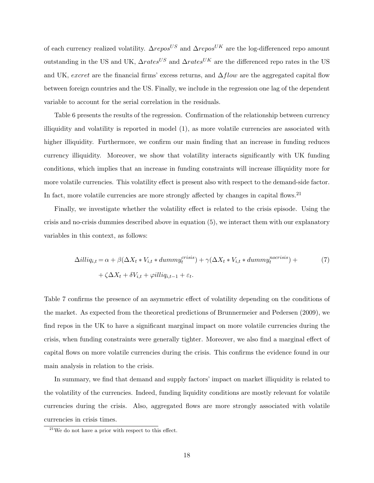of each currency realized volatility.  $\Delta repos^{US}$  and  $\Delta repos^{UK}$  are the log-differenced repo amount outstanding in the US and UK,  $\Delta rates^{US}$  and  $\Delta rates^{UK}$  are the differenced repo rates in the US and UK, excret are the financial firms' excess returns, and  $\Delta flow$  are the aggregated capital flow between foreign countries and the US. Finally, we include in the regression one lag of the dependent variable to account for the serial correlation in the residuals.

Table 6 presents the results of the regression. Confirmation of the relationship between currency illiquidity and volatility is reported in model (1), as more volatile currencies are associated with higher illiquidity. Furthermore, we confirm our main finding that an increase in funding reduces currency illiquidity. Moreover, we show that volatility interacts significantly with UK funding conditions, which implies that an increase in funding constraints will increase illiquidity more for more volatile currencies. This volatility effect is present also with respect to the demand-side factor. In fact, more volatile currencies are more strongly affected by changes in capital flows.<sup>21</sup>

Finally, we investigate whether the volatility effect is related to the crisis episode. Using the crisis and no-crisis dummies described above in equation (5), we interact them with our explanatory variables in this context, as follows:

$$
\Delta illiq_{i,t} = \alpha + \beta(\Delta X_t * V_{i,t} * dummy_t^{crisis}) + \gamma(\Delta X_t * V_{i,t} * dummy_t^{norisis}) +
$$
  
+  $\zeta \Delta X_t + \delta V_{i,t} + \varphi illiq_{i,t-1} + \varepsilon_t.$  (7)

Table 7 confirms the presence of an asymmetric effect of volatility depending on the conditions of the market. As expected from the theoretical predictions of Brunnermeier and Pedersen (2009), we find repos in the UK to have a significant marginal impact on more volatile currencies during the crisis, when funding constraints were generally tighter. Moreover, we also find a marginal effect of capital flows on more volatile currencies during the crisis. This confirms the evidence found in our main analysis in relation to the crisis.

In summary, we find that demand and supply factors' impact on market illiquidity is related to the volatility of the currencies. Indeed, funding liquidity conditions are mostly relevant for volatile currencies during the crisis. Also, aggregated flows are more strongly associated with volatile currencies in crisis times.

 $21$ We do not have a prior with respect to this effect.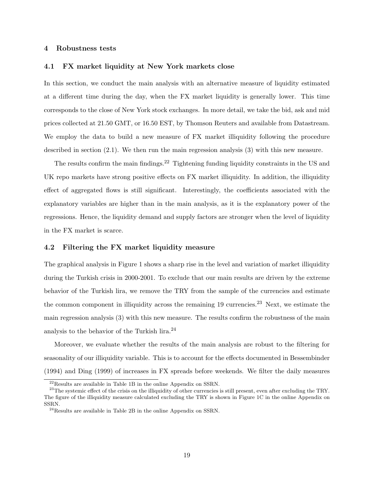## 4 Robustness tests

#### 4.1 FX market liquidity at New York markets close

In this section, we conduct the main analysis with an alternative measure of liquidity estimated at a different time during the day, when the FX market liquidity is generally lower. This time corresponds to the close of New York stock exchanges. In more detail, we take the bid, ask and mid prices collected at 21.50 GMT, or 16.50 EST, by Thomson Reuters and available from Datastream. We employ the data to build a new measure of FX market illiquidity following the procedure described in section (2.1). We then run the main regression analysis (3) with this new measure.

The results confirm the main findings.<sup>22</sup> Tightening funding liquidity constraints in the US and UK repo markets have strong positive effects on FX market illiquidity. In addition, the illiquidity effect of aggregated flows is still significant. Interestingly, the coefficients associated with the explanatory variables are higher than in the main analysis, as it is the explanatory power of the regressions. Hence, the liquidity demand and supply factors are stronger when the level of liquidity in the FX market is scarce.

#### 4.2 Filtering the FX market liquidity measure

The graphical analysis in Figure 1 shows a sharp rise in the level and variation of market illiquidity during the Turkish crisis in 2000-2001. To exclude that our main results are driven by the extreme behavior of the Turkish lira, we remove the TRY from the sample of the currencies and estimate the common component in illiquidity across the remaining 19 currencies.<sup>23</sup> Next, we estimate the main regression analysis (3) with this new measure. The results confirm the robustness of the main analysis to the behavior of the Turkish lira.<sup>24</sup>

Moreover, we evaluate whether the results of the main analysis are robust to the filtering for seasonality of our illiquidity variable. This is to account for the effects documented in Bessembinder (1994) and Ding (1999) of increases in FX spreads before weekends. We filter the daily measures

<sup>22</sup>Results are available in Table 1B in the online Appendix on SSRN.

 $^{23}$ The systemic effect of the crisis on the illiquidity of other currencies is still present, even after excluding the TRY. The figure of the illiquidity measure calculated excluding the TRY is shown in Figure 1C in the online Appendix on SSRN.

 $^{24}$ Results are available in Table 2B in the online Appendix on SSRN.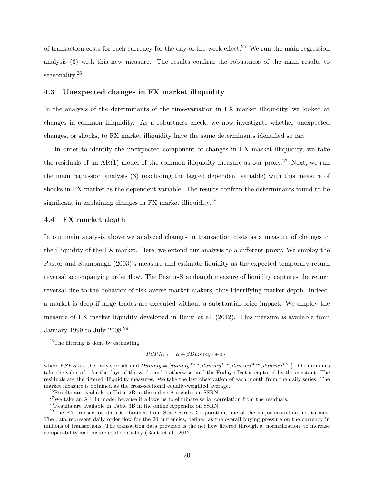of transaction costs for each currency for the day-of-the-week effect.<sup>25</sup> We run the main regression analysis (3) with this new measure. The results confirm the robustness of the main results to seasonality.<sup>26</sup>

## 4.3 Unexpected changes in FX market illiquidity

In the analysis of the determinants of the time-variation in FX market illiquidity, we looked at changes in common illiquidity. As a robustness check, we now investigate whether unexpected changes, or shocks, to FX market illiquidity have the same determinants identified so far.

In order to identify the unexpected component of changes in FX market illiquidity, we take the residuals of an  $AR(1)$  model of the common illiquidity measure as our proxy.<sup>27</sup> Next, we run the main regression analysis (3) (excluding the lagged dependent variable) with this measure of shocks in FX market as the dependent variable. The results confirm the determinants found to be significant in explaining changes in FX market illiquidity.<sup>28</sup>

## 4.4 FX market depth

In our main analysis above we analyzed changes in transaction costs as a measure of changes in the illiquidity of the FX market. Here, we extend our analysis to a different proxy. We employ the Pastor and Stambaugh (2003)'s measure and estimate liquidity as the expected temporary return reversal accompanying order flow. The Pastor-Stambaugh measure of liquidity captures the return reversal due to the behavior of risk-averse market makers, thus identifying market depth. Indeed, a market is deep if large trades are executed without a substantial price impact. We employ the measure of FX market liquidity developed in Banti et al. (2012). This measure is available from January 1999 to July 2008.<sup>29</sup>

 $25$ The filtering is done by estimating:

$$
PSPR_{i,d} = \alpha + \beta Dummy_d + \varepsilon_d
$$

where PSPR are the daily spreads and  $Dummy = [dummy^{Mon}, dummy^{Tue}, dummy^{Wed}, dummy^{Thu}]$ . The dummies take the value of 1 for the days of the week, and 0 otherwise, and the Friday effect is captured by the constant. The residuals are the filtered illiquidity measures. We take the last observation of each month from the daily series. The market measure is obtained as the cross-sectional equally-weighted average.

 $^{26}$ Results are available in Table 2B in the online Appendix on SSRN.

 $27$ We take an AR(1) model because it allows us to eliminate serial correlation from the residuals.

<sup>28</sup>Results are available in Table 3B in the online Appendix on SSRN.

<sup>&</sup>lt;sup>29</sup>The FX transaction data is obtained from State Street Corporation, one of the major custodian institutions. The data represent daily order flow for the 20 currencies, defined as the overall buying pressure on the currency in millions of transactions. The transaction data provided is the net flow filtered through a 'normalization' to increase comparability and ensure confidentiality (Banti et al., 2012).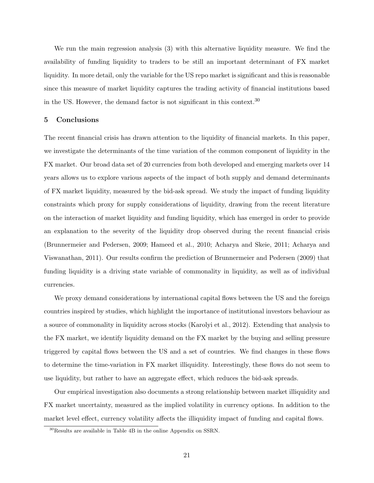We run the main regression analysis (3) with this alternative liquidity measure. We find the availability of funding liquidity to traders to be still an important determinant of FX market liquidity. In more detail, only the variable for the US repo market is significant and this is reasonable since this measure of market liquidity captures the trading activity of financial institutions based in the US. However, the demand factor is not significant in this context.<sup>30</sup>

#### 5 Conclusions

The recent financial crisis has drawn attention to the liquidity of financial markets. In this paper, we investigate the determinants of the time variation of the common component of liquidity in the FX market. Our broad data set of 20 currencies from both developed and emerging markets over 14 years allows us to explore various aspects of the impact of both supply and demand determinants of FX market liquidity, measured by the bid-ask spread. We study the impact of funding liquidity constraints which proxy for supply considerations of liquidity, drawing from the recent literature on the interaction of market liquidity and funding liquidity, which has emerged in order to provide an explanation to the severity of the liquidity drop observed during the recent financial crisis (Brunnermeier and Pedersen, 2009; Hameed et al., 2010; Acharya and Skeie, 2011; Acharya and Viswanathan, 2011). Our results confirm the prediction of Brunnermeier and Pedersen (2009) that funding liquidity is a driving state variable of commonality in liquidity, as well as of individual currencies.

We proxy demand considerations by international capital flows between the US and the foreign countries inspired by studies, which highlight the importance of institutional investors behaviour as a source of commonality in liquidity across stocks (Karolyi et al., 2012). Extending that analysis to the FX market, we identify liquidity demand on the FX market by the buying and selling pressure triggered by capital flows between the US and a set of countries. We find changes in these flows to determine the time-variation in FX market illiquidity. Interestingly, these flows do not seem to use liquidity, but rather to have an aggregate effect, which reduces the bid-ask spreads.

Our empirical investigation also documents a strong relationship between market illiquidity and FX market uncertainty, measured as the implied volatility in currency options. In addition to the market level effect, currency volatility affects the illiquidity impact of funding and capital flows.

 $30$ Results are available in Table 4B in the online Appendix on SSRN.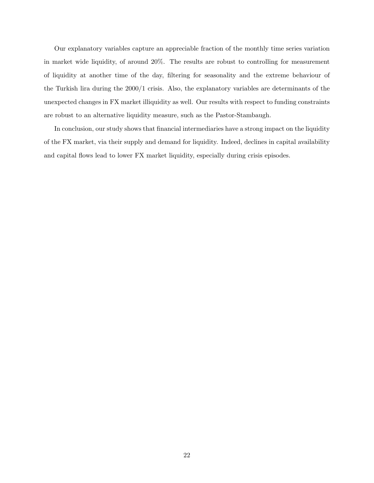Our explanatory variables capture an appreciable fraction of the monthly time series variation in market wide liquidity, of around 20%. The results are robust to controlling for measurement of liquidity at another time of the day, filtering for seasonality and the extreme behaviour of the Turkish lira during the 2000/1 crisis. Also, the explanatory variables are determinants of the unexpected changes in FX market illiquidity as well. Our results with respect to funding constraints are robust to an alternative liquidity measure, such as the Pastor-Stambaugh.

In conclusion, our study shows that financial intermediaries have a strong impact on the liquidity of the FX market, via their supply and demand for liquidity. Indeed, declines in capital availability and capital flows lead to lower FX market liquidity, especially during crisis episodes.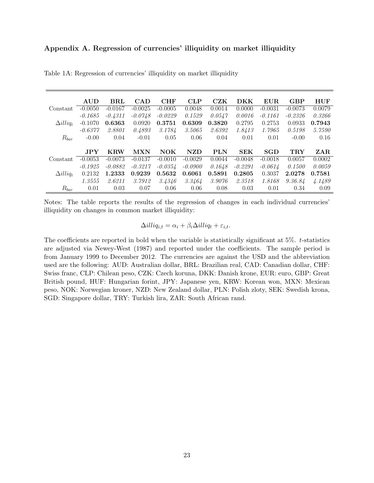## Appendix A. Regression of currencies' illiquidity on market illiquidity

|                  | AUD          | BRL        | <b>CAD</b> | <b>CHF</b> | <b>CLP</b> | CZK        | DKK        | EUR.      | GBP       | <b>HUF</b> |
|------------------|--------------|------------|------------|------------|------------|------------|------------|-----------|-----------|------------|
| Constant         | $-0.0050$    | $-0.0167$  | $-0.0025$  | $-0.0005$  | 0.0048     | 0.0014     | 0.0000     | $-0.0031$ | $-0.0073$ | 0.0079     |
|                  | $-0.1685$    | $-0.4311$  | $-0.0748$  | $-0.0229$  | 0.1529     | 0.0547     | 0.0016     | $-0.1161$ | $-0.2326$ | 0.3266     |
| $\Delta illiq_t$ | $-0.1070$    | 0.6363     | 0.0920     | 0.3751     | 0.6309     | 0.3820     | 0.2795     | 0.2753    | 0.0933    | 0.7943     |
|                  | $-0.6377$    | 2.8801     | 0.4893     | 3.1784     | 3.5065     | 2.6392     | 1.8413     | 1.7965    | 0.5198    | 5.7590     |
| $R_{bar}$        | $-0.00$      | 0.04       | $-0.01$    | 0.05       | 0.06       | 0.04       | 0.01       | 0.01      | $-0.00$   | 0.16       |
|                  | $_{\rm JPY}$ | <b>KRW</b> | <b>MXN</b> | <b>NOK</b> | <b>NZD</b> | <b>PLN</b> | <b>SEK</b> | SGD       | TRY       | ZAR.       |
| Constant         | $-0.0053$    | $-0.0073$  | $-0.0137$  | $-0.0010$  | $-0.0029$  | 0.0044     | $-0.0048$  | $-0.0018$ | 0.0057    | 0.0002     |
|                  | $-0.1925$    | $-0.0882$  | $-0.3217$  | $-0.0354$  | $-0.0900$  | 0.1648     | $-0.2291$  | $-0.0614$ | 0.1500    | 0.0059     |
| $\Delta illiq_t$ | 0.2132       | 1.2333     | 0.9239     | 0.5632     | 0.6061     | 0.5891     | 0.2805     | 0.3037    | 2.0278    | 0.7581     |
|                  | 1.3555       | 2.6211     | 3.7912     | 3.4346     | 3.3464     | 3.9076     | 2.3518     | 1.8168    | 9.36.84   | 4.1489     |
| $R_{bar}$        | 0.01         | 0.03       | 0.07       | 0.06       | 0.06       | 0.08       | 0.03       | 0.01      | 0.34      | 0.09       |

Table 1A: Regression of currencies' illiquidity on market illiquidity

Notes: The table reports the results of the regression of changes in each individual currencies' illiquidity on changes in common market illiquidity:

$$
\Delta illiq_{i,t} = \alpha_i + \beta_i \Delta illiq_t + \varepsilon_{i,t}.
$$

The coefficients are reported in bold when the variable is statistically significant at 5%. t-statistics are adjusted via Newey-West (1987) and reported under the coefficients. The sample period is from January 1999 to December 2012. The currencies are against the USD and the abbreviation used are the following: AUD: Australian dollar, BRL: Brazilian real, CAD: Canadian dollar, CHF: Swiss franc, CLP: Chilean peso, CZK: Czech koruna, DKK: Danish krone, EUR: euro, GBP: Great British pound, HUF: Hungarian forint, JPY: Japanese yen, KRW: Korean won, MXN: Mexican peso, NOK: Norwegian kroner, NZD: New Zealand dollar, PLN: Polish zloty, SEK: Swedish krona, SGD: Singapore dollar, TRY: Turkish lira, ZAR: South African rand.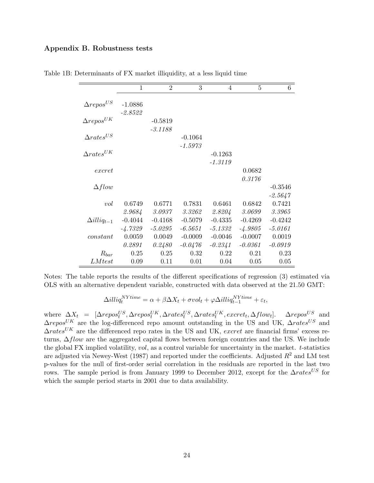## Appendix B. Robustness tests

|                      | 1                      | $\overline{2}$         | 3                      | $\overline{4}$         | $\overline{5}$         | 6                      |
|----------------------|------------------------|------------------------|------------------------|------------------------|------------------------|------------------------|
| $\Delta repos^{US}$  | $-1.0886$<br>$-2.8522$ |                        |                        |                        |                        |                        |
| $\Delta repos^{UK}$  |                        | $-0.5819$<br>$-3.1188$ |                        |                        |                        |                        |
| $\Delta rates^{US}$  |                        |                        | $-0.1064$<br>$-1.5973$ |                        |                        |                        |
| $\Delta rates^{UK}$  |                        |                        |                        | $-0.1263$<br>$-1.3119$ |                        |                        |
| $\emph{excret}$      |                        |                        |                        |                        | 0.0682<br>0.3176       |                        |
| $\Delta flow$        |                        |                        |                        |                        |                        | $-0.3546$<br>$-2.5647$ |
| vol                  | 0.6749                 | 0.6771                 | 0.7831                 | 0.6461                 | 0.6842                 | 0.7421                 |
|                      | 2.9684                 | 3.0937                 | 3.3262                 | 2.8204                 | 3.0699                 | 3.3965                 |
| $\Delta illiq_{t-1}$ | $-0.4044$              | $-0.4168$              | $-0.5079$              | $-0.4335$              | $-0.4269$              | $-0.4242$              |
| constant             | $-4.7329$<br>0.0059    | $-5.0295$<br>0.0049    | $-6.5651$<br>$-0.0009$ | $-5.1332$<br>$-0.0046$ | $-4.9805$<br>$-0.0007$ | $-5.0161$<br>0.0019    |
|                      | 0.2891                 | 0.2480                 | $-0.0476$              | $-0.2341$              | $-0.0361$              | $-0.0919$              |
| $R_{bar}$            | 0.25                   | 0.25                   | 0.32                   | 0.22                   | 0.21                   | 0.23                   |
| LMtest               | 0.09                   | 0.11                   | 0.01                   | 0.04                   | 0.05                   | 0.05                   |

Table 1B: Determinants of FX market illiquidity, at a less liquid time

Notes: The table reports the results of the different specifications of regression (3) estimated via OLS with an alternative dependent variable, constructed with data observed at the 21.50 GMT:

$$
\Delta illiq_t^{NYtime} = \alpha + \beta \Delta X_t + \sigma vol_t + \varphi \Delta illiq_{t-1}^{NYtime} + \varepsilon_t,
$$

where  $\Delta X_t = [\Delta repos_t^{US}, \Delta repos_t^{UK}, \Delta rate_s^{US}, \Delta rate_s^{UK}, except \Delta flow_t].$   $\Delta repos_t^{US}$  and  $\Delta repos^{UK}$  are the log-differenced repo amount outstanding in the US and UK,  $\Delta rate s^{US}$  and  $\Delta rates^{UK}$  are the differenced repo rates in the US and UK, excret are financial firms' excess returns,  $\Delta flow$  are the aggregated capital flows between foreign countries and the US. We include the global FX implied volatility,  $vol$ , as a control variable for uncertainty in the market.  $t$ -statistics are adjusted via Newey-West (1987) and reported under the coefficients. Adjusted  $R^2$  and LM test p-values for the null of first-order serial correlation in the residuals are reported in the last two rows. The sample period is from January 1999 to December 2012, except for the  $\Delta rates^{US}$  for which the sample period starts in 2001 due to data availability.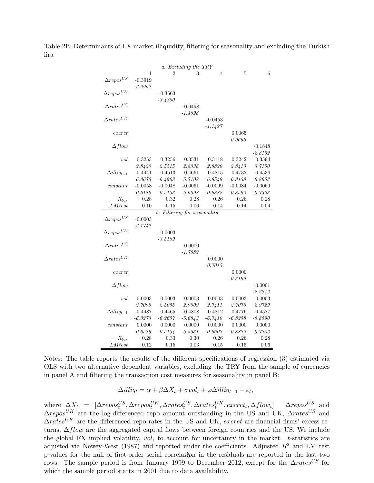| Excluding the TRY<br>$a_{\cdot}$     |           |              |                              |           |                |           |  |  |  |  |  |
|--------------------------------------|-----------|--------------|------------------------------|-----------|----------------|-----------|--|--|--|--|--|
|                                      | 1         | 2            | 3                            | $\,4\,$   | $\overline{5}$ | 6         |  |  |  |  |  |
| $\Delta repos^{US}$                  | $-0.3919$ |              |                              |           |                |           |  |  |  |  |  |
|                                      | $-2.2967$ |              |                              |           |                |           |  |  |  |  |  |
| $\Delta repos^{UK}$                  |           | $-0.3563$    |                              |           |                |           |  |  |  |  |  |
|                                      |           | $-3.4300$    |                              |           |                |           |  |  |  |  |  |
| $\Delta rates^{US}$                  |           |              | $-0.0498$                    |           |                |           |  |  |  |  |  |
|                                      |           |              | $-1.4698$                    |           |                |           |  |  |  |  |  |
| $\Delta rates^{UK}$                  |           |              |                              | $-0.0453$ |                |           |  |  |  |  |  |
|                                      |           |              |                              | $-1.1427$ |                |           |  |  |  |  |  |
| excret                               |           |              |                              |           | 0.0065         |           |  |  |  |  |  |
|                                      |           |              |                              |           | 0.0666         |           |  |  |  |  |  |
| $\Delta flow$                        |           |              |                              |           |                | $-0.1848$ |  |  |  |  |  |
|                                      |           |              |                              |           |                | $-2.8152$ |  |  |  |  |  |
| vol                                  | 0.3253    | 0.3256       | 0.3531                       | 0.3118    | 0.3242         | 0.3594    |  |  |  |  |  |
|                                      | 2.8420    | $\it 2.5515$ | 2.8338                       | 2.8820    | 2.8410         | 3.7150    |  |  |  |  |  |
| $\Delta$ <i>illiq</i> <sub>t-1</sub> | $-0.4441$ | $-0.4513$    | $-0.4661$                    | $-0.4815$ | $-0.4732$      | $-0.4536$ |  |  |  |  |  |
|                                      | $-6.3673$ | $-6.4968$    | $-5.7108$                    | $-6.8549$ | $-6.8138$      | $-6.8653$ |  |  |  |  |  |
| constant                             | $-0.0058$ | $-0.0048$    | $-0.0061$                    | $-0.0099$ | $-0.0084$      | $-0.0069$ |  |  |  |  |  |
|                                      | $-0.6188$ | $-0.5133$    | $-0.6098$                    | $-0.9882$ | $-0.8592$      | $-0.7303$ |  |  |  |  |  |
| $R_{bar}$                            | 0.28      | 0.32         | 0.28                         | 0.26      | 0.26           | 0.28      |  |  |  |  |  |
| LM test                              | 0.10      | 0.15         | 0.06                         | 0.14      | 0.14           | 0.04      |  |  |  |  |  |
|                                      |           |              | b. Filtering for seasonality |           |                |           |  |  |  |  |  |
| $\Delta repos^{US}$                  | $-0.0003$ |              |                              |           |                |           |  |  |  |  |  |
|                                      | $-2.1747$ |              |                              |           |                |           |  |  |  |  |  |
| $\Delta repos^{UK}$                  |           | $-0.0003$    |                              |           |                |           |  |  |  |  |  |
|                                      |           | $-3.5189$    |                              |           |                |           |  |  |  |  |  |
| $\Delta rates^{US}$                  |           |              | 0.0000                       |           |                |           |  |  |  |  |  |
|                                      |           |              | $-1.7682$                    |           |                |           |  |  |  |  |  |
| $\Delta rates^{UK}$                  |           |              |                              | 0.0000    |                |           |  |  |  |  |  |
|                                      |           |              |                              | $-0.7015$ |                |           |  |  |  |  |  |
| excret                               |           |              |                              |           | 0.0000         |           |  |  |  |  |  |
|                                      |           |              |                              |           | $-0.3199$      |           |  |  |  |  |  |
| $\Delta flow$                        |           |              |                              |           |                | $-0.0001$ |  |  |  |  |  |
|                                      |           |              |                              |           |                | $-2.2842$ |  |  |  |  |  |
| vol                                  | 0.0003    | 0.0003       | 0.0003                       | 0.0003    | 0.0003         | 0.0003    |  |  |  |  |  |
|                                      | 2.7099    | 2.5055       | 2.9009                       | 2.7411    | 2.7076         | 2.9729    |  |  |  |  |  |
| $\Delta$ <i>illiq</i> <sub>t-1</sub> | $-0.4487$ | $-0.4465$    | $-0.4808$                    | $-0.4812$ | $-0.4776$      | $-0.4587$ |  |  |  |  |  |
|                                      | -6.3273   | -6.2657      | $-5.6843$                    | $-6.7410$ | -6.8258        | -6.8590   |  |  |  |  |  |
| constant                             | 0.0000    | 0.0000       | 0.0000                       | 0.0000    | 0.0000         | 0.0000    |  |  |  |  |  |
|                                      | $-0.6586$ | $-0.5134$    | $-0.5531$                    | $-0.9607$ | $-0.8872$      | $-0.7732$ |  |  |  |  |  |
| $R_{bar}$                            | 0.28      | 0.33         | 0.30                         | 0.26      | 0.26           | 0.28      |  |  |  |  |  |
| LM test                              | 0.12      | 0.15         | 0.03                         | 0.15      | 0.15           | 0.06      |  |  |  |  |  |

Table 2B: Determinants of FX market illiquidity, filtering for seasonality and excluding the Turkish lira

Notes: The table reports the results of the different specifications of regression (3) estimated via OLS with two alternative dependent variables, excluding the TRY from the sample of currencies in panel A and filtering the transaction cost measures for seasonality in panel B:

$$
\Delta illiq_t = \alpha + \beta \Delta X_t + \sigma vol_t + \varphi \Delta illiq_{t-1} + \varepsilon_t,
$$

where  $\Delta X_t = [\Delta repos_t^{US}, \Delta repos_t^{UK}, \Delta rate_s^{US}, \Delta rate_s^{UK}, except \Delta flow_t$  $\triangle repos^{US}$  and  $\Delta repos^{UK}$  are the log-differenced repo amount outstanding in the US and UK,  $\Delta rates^{US}$  and  $\Delta \text{rates}^{UK}$  are the differenced repo rates in the US and UK, excret are financial firms' excess returns,  $\Delta flow$  are the aggregated capital flows between foreign countries and the US. We include the global FX implied volatility, vol, to account for uncertainty in the market. t-statistics are adjusted via Newey-West (1987) and reported under the coefficients. Adjusted  $R^2$  and LM test p-values for the null of first-order serial correlation in the residuals are reported in the last two rows. The sample period is from January 1999 to December 2012, except for the  $\Delta rates^{US}$  for which the sample period starts in 2001 due to data availability.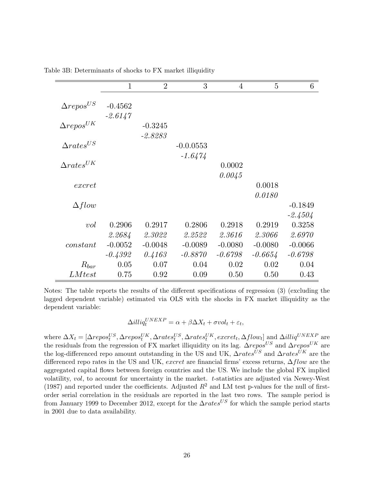|                        | $\mathbf{1}$           | $\overline{2}$ | 3                        | $\overline{4}$ | $\overline{5}$ | 6                      |
|------------------------|------------------------|----------------|--------------------------|----------------|----------------|------------------------|
| $\triangle repos^{US}$ | $-0.4562$<br>$-2.6147$ |                |                          |                |                |                        |
| $\Delta repos^{UK}$    |                        | $-0.3245$      |                          |                |                |                        |
|                        |                        | $-2.8283$      |                          |                |                |                        |
| $\Delta rates^{US}$    |                        |                | $-0.0.0553$<br>$-1.6474$ |                |                |                        |
| $\Delta rates^{UK}$    |                        |                |                          | 0.0002         |                |                        |
|                        |                        |                |                          | 0.0045         |                |                        |
| $\emph{excret}$        |                        |                |                          |                | 0.0018         |                        |
|                        |                        |                |                          |                | 0.0180         |                        |
| $\Delta flow$          |                        |                |                          |                |                | $-0.1849$<br>$-2.4504$ |
| vol                    | 0.2906                 | 0.2917         | 0.2806                   | 0.2918         | 0.2919         | 0.3258                 |
|                        | 2.2684                 | 2.3022         | 2.2522                   | 2.3616         | 2.3066         | 2.6970                 |
| constant               | $-0.0052$              | $-0.0048$      | $-0.0089$                | $-0.0080$      | $-0.0080$      | $-0.0066$              |
|                        | $-0.4392$              | 0.4163         | $-0.8870$                | $-0.6798$      | $-0.6654$      | $-0.6798$              |
| $R_{bar}$              | 0.05                   | 0.07           | 0.04                     | 0.02           | 0.02           | 0.04                   |
| <i>LMtest</i>          | 0.75                   | 0.92           | 0.09                     | 0.50           | 0.50           | 0.43                   |

Table 3B: Determinants of shocks to FX market illiquidity

Notes: The table reports the results of the different specifications of regression (3) (excluding the lagged dependent variable) estimated via OLS with the shocks in FX market illiquidity as the dependent variable:

$$
\Delta illiq_t^{UNEXP} = \alpha + \beta \Delta X_t + \sigma vol_t + \varepsilon_t,
$$

where  $\Delta X_t = [\Delta repos_t^{US}, \Delta repos_t^{UK}, \Delta rate_s^{US}, \Delta rate_s^{UK}, except, \Delta flow_t]$  and  $\Delta tilliq^{UNEXP}$  are the residuals from the regression of FX market illiquidity on its lag.  $\triangle$ repos<sup>US</sup> and  $\triangle$ repos<sup>UK</sup> are the log-differenced repo amount outstanding in the US and UK,  $\Delta$ rates<sup>US</sup> and  $\Delta$ rates<sup>UK</sup> are the differenced repo rates in the US and UK, excret are financial firms' excess returns,  $\Delta flow$  are the aggregated capital flows between foreign countries and the US. We include the global FX implied volatility, vol, to account for uncertainty in the market. t-statistics are adjusted via Newey-West (1987) and reported under the coefficients. Adjusted  $R^2$  and LM test p-values for the null of firstorder serial correlation in the residuals are reported in the last two rows. The sample period is from January 1999 to December 2012, except for the  $\Delta \text{rates}^{US}$  for which the sample period starts in 2001 due to data availability.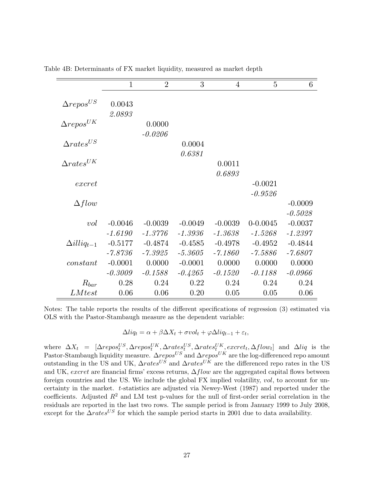|                        | 1                         | $\overline{2}$            | 3                         | $\overline{4}$            | $\overline{5}$            | 6                         |
|------------------------|---------------------------|---------------------------|---------------------------|---------------------------|---------------------------|---------------------------|
| $\triangle repos^{US}$ | 0.0043<br>2.0893          |                           |                           |                           |                           |                           |
| $\Delta repos^{UK}$    |                           | 0.0000<br>$-0.0206$       |                           |                           |                           |                           |
| $\Delta rates^{US}$    |                           |                           | 0.0004<br>0.6381          |                           |                           |                           |
| $\Delta rates^{UK}$    |                           |                           |                           | 0.0011<br>0.6893          |                           |                           |
| $\emph{excret}$        |                           |                           |                           |                           | $-0.0021$<br>$-0.9526$    |                           |
| $\Delta flow$          |                           |                           |                           |                           |                           | $-0.0009$<br>$-0.5028$    |
| vol                    | $-0.0046$<br>$-1.6190$    | $-0.0039$<br>$-1.3776$    | $-0.0049$<br>$-1.3936$    | $-0.0039$<br>$-1.3638$    | $0 - 0.0045$<br>$-1.5268$ | $-0.0037$<br>$-1.2397$    |
| $\Delta illiq_{t-1}$   | $-0.5177$<br>$-7.8736$    | $-0.4874$<br>$-7.3925$    | $-0.4585$<br>$-5.3605$    | $-0.4978$<br>$-7.1860$    | $-0.4952$<br>$-7.5886$    | $-0.4844$<br>$-7.6807$    |
| constant               | $-0.0001$                 | 0.0000                    | $-0.0001$                 | 0.0000                    | 0.0000                    | 0.0000                    |
| $R_{bar}$<br>LMtest    | $-0.3009$<br>0.28<br>0.06 | $-0.1588$<br>0.24<br>0.06 | $-0.4265$<br>0.22<br>0.20 | $-0.1520$<br>0.24<br>0.05 | $-0.1188$<br>0.24<br>0.05 | $-0.0966$<br>0.24<br>0.06 |

Table 4B: Determinants of FX market liquidity, measured as market depth

Notes: The table reports the results of the different specifications of regression (3) estimated via OLS with the Pastor-Stambaugh measure as the dependent variable:

$$
\Delta liq_t = \alpha + \beta \Delta X_t + \sigma vol_t + \varphi \Delta liq_{t-1} + \varepsilon_t,
$$

where  $\Delta X_t = [\Delta repos_t^{US}, \Delta repos_t^{UK}, \Delta rate_s^{US}, \Delta rate_s^{UK}, except, \Delta flow_t]$  and  $\Delta liq$  is the Pastor-Stambaugh liquidity measure.  $\Delta repos^{US}$  and  $\Delta repos^{UK}$  are the log-differenced repo amount outstanding in the US and UK,  $\Delta rates^{US}$  and  $\Delta rates^{UK}$  are the differenced repo rates in the US and UK, excret are financial firms' excess returns,  $\Delta flow$  are the aggregated capital flows between foreign countries and the US. We include the global FX implied volatility, vol, to account for uncertainty in the market. t-statistics are adjusted via Newey-West (1987) and reported under the coefficients. Adjusted  $R^2$  and LM test p-values for the null of first-order serial correlation in the residuals are reported in the last two rows. The sample period is from January 1999 to July 2008, except for the  $\Delta \text{rates}^{US}$  for which the sample period starts in 2001 due to data availability.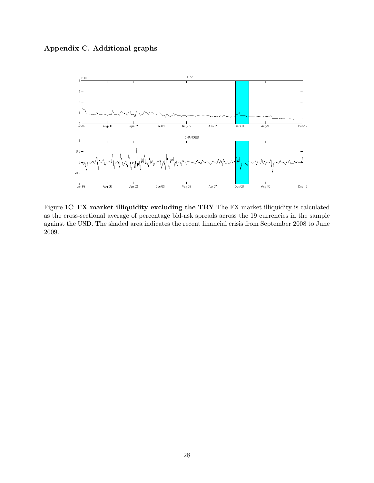Appendix C. Additional graphs



Figure 1C: FX market illiquidity excluding the TRY The FX market illiquidity is calculated as the cross-sectional average of percentage bid-ask spreads across the 19 currencies in the sample against the USD. The shaded area indicates the recent financial crisis from September 2008 to June 2009.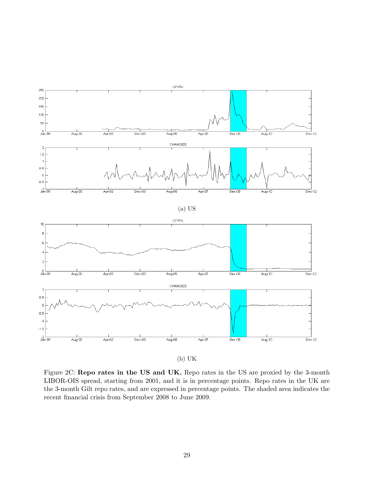

(b) UK

Figure 2C: Repo rates in the US and UK. Repo rates in the US are proxied by the 3-month LIBOR-OIS spread, starting from 2001, and it is in percentage points. Repo rates in the UK are the 3-month Gilt repo rates, and are expressed in percentage points. The shaded area indicates the recent financial crisis from September 2008 to June 2009.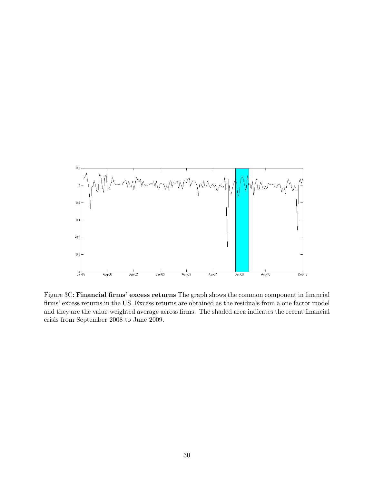

Figure 3C: Financial firms' excess returns The graph shows the common component in financial firms' excess returns in the US. Excess returns are obtained as the residuals from a one factor model and they are the value-weighted average across firms. The shaded area indicates the recent financial crisis from September 2008 to June 2009.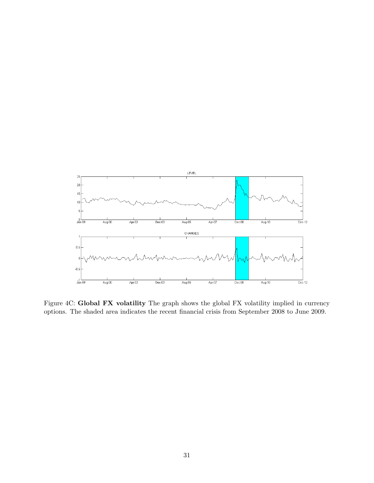

Figure 4C: Global FX volatility The graph shows the global FX volatility implied in currency options. The shaded area indicates the recent financial crisis from September 2008 to June 2009.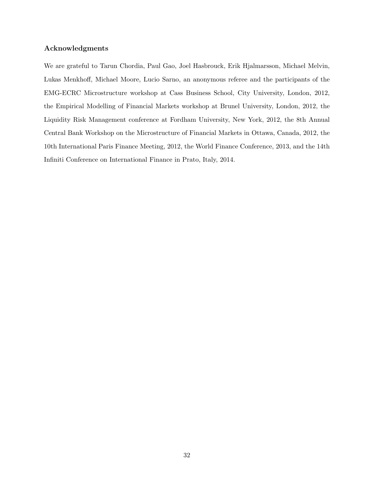## Acknowledgments

We are grateful to Tarun Chordia, Paul Gao, Joel Hasbrouck, Erik Hjalmarsson, Michael Melvin, Lukas Menkhoff, Michael Moore, Lucio Sarno, an anonymous referee and the participants of the EMG-ECRC Microstructure workshop at Cass Business School, City University, London, 2012, the Empirical Modelling of Financial Markets workshop at Brunel University, London, 2012, the Liquidity Risk Management conference at Fordham University, New York, 2012, the 8th Annual Central Bank Workshop on the Microstructure of Financial Markets in Ottawa, Canada, 2012, the 10th International Paris Finance Meeting, 2012, the World Finance Conference, 2013, and the 14th Infiniti Conference on International Finance in Prato, Italy, 2014.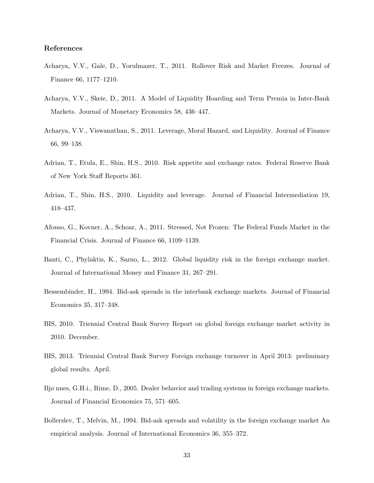## References

- Acharya, V.V., Gale, D., Yorulmazer, T., 2011. Rollover Risk and Market Freezes. Journal of Finance 66, 1177–1210.
- Acharya, V.V., Skeie, D., 2011. A Model of Liquidity Hoarding and Term Premia in Inter-Bank Markets. Journal of Monetary Economics 58, 436–447.
- Acharya, V.V., Viswanathan, S., 2011. Leverage, Moral Hazard, and Liquidity. Journal of Finance 66, 99–138.
- Adrian, T., Etula, E., Shin, H.S., 2010. Risk appetite and exchange rates. Federal Reserve Bank of New York Staff Reports 361.
- Adrian, T., Shin, H.S., 2010. Liquidity and leverage. Journal of Financial Intermediation 19, 418–437.
- Afonso, G., Kovner, A., Schoar, A., 2011. Stressed, Not Frozen: The Federal Funds Market in the Financial Crisis. Journal of Finance 66, 1109–1139.
- Banti, C., Phylaktis, K., Sarno, L., 2012. Global liquidity risk in the foreign exchange market. Journal of International Money and Finance 31, 267–291.
- Bessembinder, H., 1994. Bid-ask spreads in the interbank exchange markets. Journal of Financial Economics 35, 317–348.
- BIS, 2010. Triennial Central Bank Survey Report on global foreign exchange market activity in 2010. December.
- BIS, 2013. Triennial Central Bank Survey Foreign exchange turnover in April 2013: preliminary global results. April.
- Bjø nnes, G.H.i., Rime, D., 2005. Dealer behavior and trading systems in foreign exchange markets. Journal of Financial Economics 75, 571–605.
- Bollerslev, T., Melvin, M., 1994. Bid-ask spreads and volatility in the foreign exchange market An empirical analysis. Journal of International Economics 36, 355–372.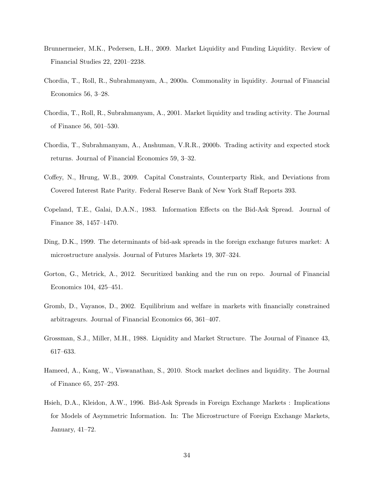- Brunnermeier, M.K., Pedersen, L.H., 2009. Market Liquidity and Funding Liquidity. Review of Financial Studies 22, 2201–2238.
- Chordia, T., Roll, R., Subrahmanyam, A., 2000a. Commonality in liquidity. Journal of Financial Economics 56, 3–28.
- Chordia, T., Roll, R., Subrahmanyam, A., 2001. Market liquidity and trading activity. The Journal of Finance 56, 501–530.
- Chordia, T., Subrahmanyam, A., Anshuman, V.R.R., 2000b. Trading activity and expected stock returns. Journal of Financial Economics 59, 3–32.
- Coffey, N., Hrung, W.B., 2009. Capital Constraints, Counterparty Risk, and Deviations from Covered Interest Rate Parity. Federal Reserve Bank of New York Staff Reports 393.
- Copeland, T.E., Galai, D.A.N., 1983. Information Effects on the Bid-Ask Spread. Journal of Finance 38, 1457–1470.
- Ding, D.K., 1999. The determinants of bid-ask spreads in the foreign exchange futures market: A microstructure analysis. Journal of Futures Markets 19, 307–324.
- Gorton, G., Metrick, A., 2012. Securitized banking and the run on repo. Journal of Financial Economics 104, 425–451.
- Gromb, D., Vayanos, D., 2002. Equilibrium and welfare in markets with financially constrained arbitrageurs. Journal of Financial Economics 66, 361–407.
- Grossman, S.J., Miller, M.H., 1988. Liquidity and Market Structure. The Journal of Finance 43, 617–633.
- Hameed, A., Kang, W., Viswanathan, S., 2010. Stock market declines and liquidity. The Journal of Finance 65, 257–293.
- Hsieh, D.A., Kleidon, A.W., 1996. Bid-Ask Spreads in Foreign Exchange Markets : Implications for Models of Asymmetric Information. In: The Microstructure of Foreign Exchange Markets, January, 41–72.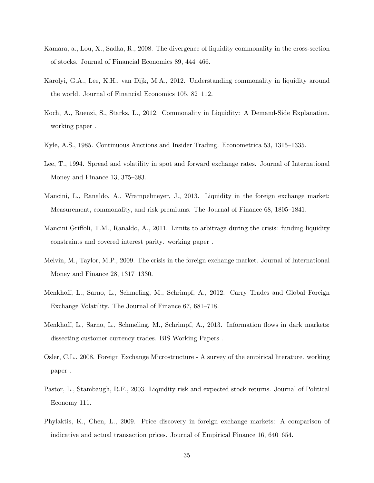- Kamara, a., Lou, X., Sadka, R., 2008. The divergence of liquidity commonality in the cross-section of stocks. Journal of Financial Economics 89, 444–466.
- Karolyi, G.A., Lee, K.H., van Dijk, M.A., 2012. Understanding commonality in liquidity around the world. Journal of Financial Economics 105, 82–112.
- Koch, A., Ruenzi, S., Starks, L., 2012. Commonality in Liquidity: A Demand-Side Explanation. working paper .
- Kyle, A.S., 1985. Continuous Auctions and Insider Trading. Econometrica 53, 1315–1335.
- Lee, T., 1994. Spread and volatility in spot and forward exchange rates. Journal of International Money and Finance 13, 375–383.
- Mancini, L., Ranaldo, A., Wrampelmeyer, J., 2013. Liquidity in the foreign exchange market: Measurement, commonality, and risk premiums. The Journal of Finance 68, 1805–1841.
- Mancini Griffoli, T.M., Ranaldo, A., 2011. Limits to arbitrage during the crisis: funding liquidity constraints and covered interest parity. working paper .
- Melvin, M., Taylor, M.P., 2009. The crisis in the foreign exchange market. Journal of International Money and Finance 28, 1317–1330.
- Menkhoff, L., Sarno, L., Schmeling, M., Schrimpf, A., 2012. Carry Trades and Global Foreign Exchange Volatility. The Journal of Finance 67, 681–718.
- Menkhoff, L., Sarno, L., Schmeling, M., Schrimpf, A., 2013. Information flows in dark markets: dissecting customer currency trades. BIS Working Papers .
- Osler, C.L., 2008. Foreign Exchange Microstructure A survey of the empirical literature. working paper .
- Pastor, L., Stambaugh, R.F., 2003. Liquidity risk and expected stock returns. Journal of Political Economy 111.
- Phylaktis, K., Chen, L., 2009. Price discovery in foreign exchange markets: A comparison of indicative and actual transaction prices. Journal of Empirical Finance 16, 640–654.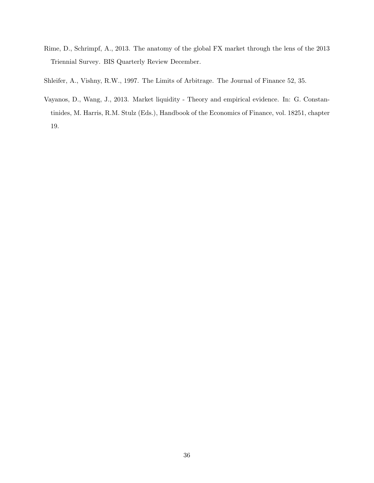- Rime, D., Schrimpf, A., 2013. The anatomy of the global FX market through the lens of the 2013 Triennial Survey. BIS Quarterly Review December.
- Shleifer, A., Vishny, R.W., 1997. The Limits of Arbitrage. The Journal of Finance 52, 35.
- Vayanos, D., Wang, J., 2013. Market liquidity Theory and empirical evidence. In: G. Constantinides, M. Harris, R.M. Stulz (Eds.), Handbook of the Economics of Finance, vol. 18251, chapter 19.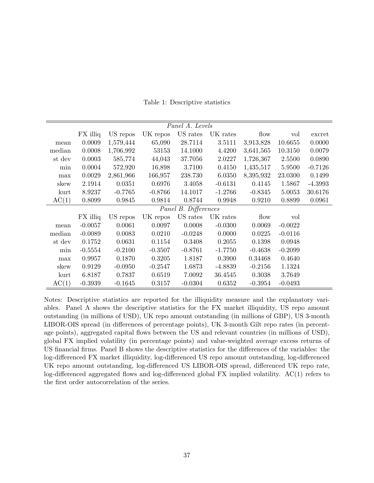|        |           |           |           | Panel A. Levels      |           |           |           |           |
|--------|-----------|-----------|-----------|----------------------|-----------|-----------|-----------|-----------|
|        | FX illiq  | US repos  | UK repos  | US rates             | UK rates  | flow      | vol       | excret    |
| mean   | 0.0009    | 1,579,444 | 65,090    | 28.7114              | 3.5111    | 3,913,828 | 10.6655   | 0.0000    |
| median | 0.0008    | 1,706,992 | 53153     | 14.1000              | 4.4200    | 3,641,565 | 10.3150   | 0.0079    |
| st dev | 0.0003    | 585,774   | 44,043    | 37.7056              | 2.0227    | 1,726,367 | 2.5500    | 0.0890    |
| min    | 0.0004    | 572,920   | 16,898    | 3.7100               | 0.4150    | 1,435,517 | 5.9500    | $-0.7126$ |
| $\max$ | 0.0029    | 2,861,966 | 166,957   | 238.730              | 6.0350    | 8,395,932 | 23.0300   | 0.1499    |
| skew   | 2.1914    | 0.0351    | 0.6976    | 3.4058               | $-0.6131$ | 0.4145    | 1.5867    | $-4.3993$ |
| kurt   | 8.9237    | $-0.7765$ | $-0.8766$ | 14.1017              | $-1.2766$ | $-0.8345$ | 5.0053    | 30.6176   |
| AC(1)  | 0.8099    | 0.9845    | 0.9814    | 0.8744               | 0.9948    | 0.9210    | 0.8899    | 0.0961    |
|        |           |           |           | Panel B. Differences |           |           |           |           |
|        | FX illiq  | US repos  | UK repos  | US rates             | UK rates  | flow      | vol       |           |
| mean   | $-0.0057$ | 0.0061    | 0.0097    | 0.0008               | $-0.0300$ | 0.0069    | $-0.0022$ |           |
| median | $-0.0089$ | 0.0083    | 0.0210    | $-0.0248$            | 0.0000    | 0.0225    | $-0.0116$ |           |
| st dev | 0.1752    | 0.0631    | 0.1154    | 0.3408               | 0.2055    | 0.1398    | 0.0948    |           |
| min    | $-0.5554$ | $-0.2100$ | $-0.3507$ | $-0.8761$            | $-1.7750$ | $-0.4638$ | $-0.2099$ |           |
| max    | 0.9957    | 0.1870    | 0.3205    | 1.8187               | 0.3900    | 0.34468   | 0.4640    |           |
| skew   | 0.9129    | $-0.0950$ | $-0.2547$ | 1.6873               | $-4.8839$ | $-0.2156$ | 1.1324    |           |
| kurt   | 6.8187    | 0.7837    | 0.6519    | 7.0092               | 36.4545   | 0.3038    | 3.7649    |           |
| AC(1)  | $-0.3939$ | $-0.1645$ | 0.3157    | $-0.0304$            | 0.6352    | $-0.3954$ | $-0.0493$ |           |

Table 1: Descriptive statistics

Notes: Descriptive statistics are reported for the illiquidity measure and the explanatory variables. Panel A shows the descriptive statistics for the FX market illiquidity, US repo amount outstanding (in millions of USD), UK repo amount outstanding (in millions of GBP), US 3-month LIBOR-OIS spread (in differences of percentage points), UK 3-month Gilt repo rates (in percentage points), aggregated capital flows between the US and relevant countries (in millions of USD), global FX implied volatility (in percentage points) and value-weighted average excess returns of US financial firms. Panel B shows the descriptive statistics for the differences of the variables: the log-differenced FX market illiquidity, log-differenced US repo amount outstanding, log-differenced UK repo amount outstanding, log-differenced US LIBOR-OIS spread, differenced UK repo rate, log-differenced aggregated flows and log-differenced global FX implied volatility. AC(1) refers to the first order autocorrelation of the series.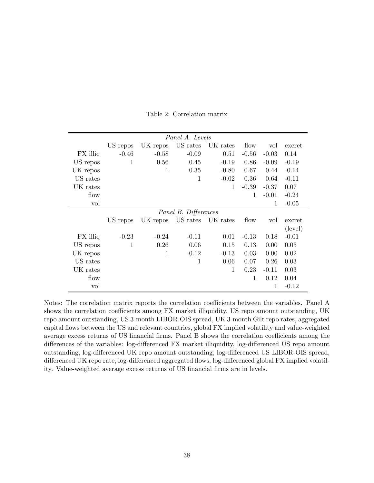|                      | Panel A. Levels |          |          |                   |         |         |         |  |  |  |  |  |
|----------------------|-----------------|----------|----------|-------------------|---------|---------|---------|--|--|--|--|--|
|                      | US repos        | UK repos | US rates | UK rates          | flow    | vol     | excret  |  |  |  |  |  |
| FX illiq             | $-0.46$         | $-0.58$  | $-0.09$  | 0.51              | $-0.56$ | $-0.03$ | 0.14    |  |  |  |  |  |
| US repos             | 1               | 0.56     | 0.45     | $-0.19$           | 0.86    | $-0.09$ | $-0.19$ |  |  |  |  |  |
| UK repos             |                 | 1        | 0.35     | $-0.80$           | 0.67    | 0.44    | $-0.14$ |  |  |  |  |  |
| US rates             |                 |          | 1        | $-0.02$           | 0.36    | 0.64    | $-0.11$ |  |  |  |  |  |
| UK rates             |                 |          |          | 1                 | $-0.39$ | $-0.37$ | 0.07    |  |  |  |  |  |
| flow                 |                 |          |          |                   | 1       | $-0.01$ | $-0.24$ |  |  |  |  |  |
| vol                  |                 |          |          |                   |         | 1       | $-0.05$ |  |  |  |  |  |
| Panel B. Differences |                 |          |          |                   |         |         |         |  |  |  |  |  |
|                      | US repos        | UK repos |          | US rates UK rates | flow    | vol     | excret  |  |  |  |  |  |
|                      |                 |          |          |                   |         |         | (level) |  |  |  |  |  |
| FX illiq             | $-0.23$         | $-0.24$  | $-0.11$  | 0.01              | $-0.13$ | 0.18    | $-0.01$ |  |  |  |  |  |
| US repos             | 1               | 0.26     | 0.06     | 0.15              | 0.13    | 0.00    | 0.05    |  |  |  |  |  |
| UK repos             |                 | 1        | $-0.12$  | $-0.13$           | 0.03    | 0.00    | 0.02    |  |  |  |  |  |
| US rates             |                 |          | 1        | 0.06              | 0.07    | 0.26    | 0.03    |  |  |  |  |  |
| UK rates             |                 |          |          | 1                 | 0.23    | $-0.11$ | 0.03    |  |  |  |  |  |
| flow                 |                 |          |          |                   | 1       | 0.12    | 0.04    |  |  |  |  |  |
| vol                  |                 |          |          |                   |         | 1       | $-0.12$ |  |  |  |  |  |

Table 2: Correlation matrix

Notes: The correlation matrix reports the correlation coefficients between the variables. Panel A shows the correlation coefficients among FX market illiquidity, US repo amount outstanding, UK repo amount outstanding, US 3-month LIBOR-OIS spread, UK 3-month Gilt repo rates, aggregated capital flows between the US and relevant countries, global FX implied volatility and value-weighted average excess returns of US financial firms. Panel B shows the correlation coefficients among the differences of the variables: log-differenced FX market illiquidity, log-differenced US repo amount outstanding, log-differenced UK repo amount outstanding, log-differenced US LIBOR-OIS spread, differenced UK repo rate, log-differenced aggregated flows, log-differenced global FX implied volatility. Value-weighted average excess returns of US financial firms are in levels.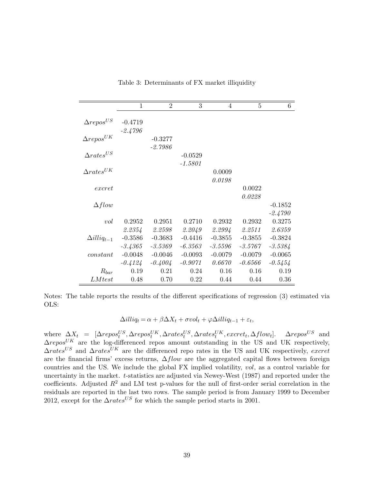|                      | 1                      | $\overline{2}$         | 3                      | 4                   | 5                      | 6                      |
|----------------------|------------------------|------------------------|------------------------|---------------------|------------------------|------------------------|
| $\Delta repos^{US}$  | $-0.4719$              |                        |                        |                     |                        |                        |
| $\Delta repos^{UK}$  | $-2.4796$              | $-0.3277$<br>$-2.7986$ |                        |                     |                        |                        |
| $\Delta rates^{US}$  |                        |                        | $-0.0529$<br>$-1.5801$ |                     |                        |                        |
| $\Delta rates^{UK}$  |                        |                        |                        | 0.0009<br>0.0198    |                        |                        |
| $\emph{excret}$      |                        |                        |                        |                     | 0.0022                 |                        |
| $\Delta flow$        |                        |                        |                        |                     | 0.0228                 | $-0.1852$<br>$-2.4790$ |
| vol                  | 0.2952                 | 0.2951                 | 0.2710                 | 0.2932              | 0.2932                 | 0.3275                 |
| $\Delta illiq_{t-1}$ | 2.2354<br>$-0.3586$    | 2.2598<br>$-0.3683$    | 2.2049<br>$-0.4416$    | 2.2994<br>$-0.3855$ | 2.2511<br>$-0.3855$    | 2.6359<br>$-0.3824$    |
|                      | $-3.4365$              | $-3.5369$              | $-6.3563$              | $-3.5596$           | $-3.5767$              | $-3.5384$              |
| constant             | $-0.0048$<br>$-0.4124$ | $-0.0046$<br>$-0.4004$ | $-0.0093$<br>$-0.9071$ | $-0.0079$<br>0.6670 | $-0.0079$<br>$-0.6566$ | $-0.0065$<br>$-0.5454$ |
| $R_{bar}$            | 0.19                   | 0.21                   | 0.24                   | 0.16                | 0.16                   | 0.19                   |
| LM test              | 0.48                   | 0.70                   | 0.22                   | 0.44                | 0.44                   | 0.36                   |

Table 3: Determinants of FX market illiquidity

Notes: The table reports the results of the different specifications of regression (3) estimated via OLS:

$$
\Delta illiq_t = \alpha + \beta \Delta X_t + \sigma vol_t + \varphi \Delta illiq_{t-1} + \varepsilon_t,
$$

where  $\Delta X_t = [\Delta repos_t^{US}, \Delta repos_t^{UK}, \Delta rate_s^{US}, \Delta rate_s^{UK}, except \Delta flow_t].$   $\Delta repos^{US}$  and  $\Delta repos^{UK}$  are the log-differenced repos amount outstanding in the US and UK respectively,  $\Delta rates^{US}$  and  $\Delta rates^{UK}$  are the differenced repo rates in the US and UK respectively, excret are the financial firms' excess returns,  $\Delta flow$  are the aggregated capital flows between foreign countries and the US. We include the global FX implied volatility, vol, as a control variable for uncertainty in the market. t-statistics are adjusted via Newey-West (1987) and reported under the coefficients. Adjusted  $R^2$  and LM test p-values for the null of first-order serial correlation in the residuals are reported in the last two rows. The sample period is from January 1999 to December 2012, except for the  $\Delta \text{rates}^{US}$  for which the sample period starts in 2001.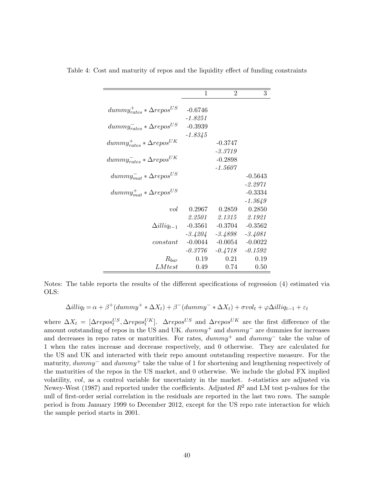|                                         | 1         | $\overline{2}$ | 3 <sup>1</sup> |
|-----------------------------------------|-----------|----------------|----------------|
| $dummy^+_{rates} * \Delta repos^{US}$   | $-0.6746$ |                |                |
|                                         | $-1.8251$ |                |                |
| $dummy_{rates}^{-} * \Delta repos^{US}$ | $-0.3939$ |                |                |
|                                         | $-1.8345$ |                |                |
| $dummy^{+}_{rates} * \Delta repos^{UK}$ |           | $-0.3747$      |                |
|                                         |           | $-3.3719$      |                |
| $dummy_{rates}^{-} * \Delta repos^{UK}$ |           | $-0.2898$      |                |
|                                         |           | $-1.5607$      |                |
| $dummy_{mat}^{-} * \Delta repos^{US}$   |           |                | $-0.5643$      |
|                                         |           |                | $-2.2971$      |
| $dummy^+_{mat} * \Delta repos^{US}$     |           |                | $-0.3334$      |
|                                         |           |                | $-1.3649$      |
| vol                                     | 0.2967    | 0.2859         | 0.2850         |
|                                         | 2.2501    | 2.1315         | 2.1921         |
| $\Delta$ illiq <sub>t-1</sub>           | $-0.3561$ | $-0.3704$      | $-0.3562$      |
|                                         | $-3.4204$ | $-3.4898$      | $-3.4081$      |
| constant                                | $-0.0044$ | $-0.0054$      | $-0.0022$      |
|                                         | $-0.3776$ | $-0.4718$      | $-0.1592$      |
| $R_{bar}$                               | 0.19      | 0.21           | 0.19           |
| <i>LM</i> test                          | 0.49      | 0.74           | 0.50           |

Table 4: Cost and maturity of repos and the liquidity effect of funding constraints

Notes: The table reports the results of the different specifications of regression (4) estimated via OLS:

$$
\Delta illiq_t = \alpha + \beta^+(dummy^+ * \Delta X_t) + \beta^-(dummy^- * \Delta X_t) + \sigma vol_t + \varphi \Delta illiq_{t-1} + \varepsilon_t
$$

where  $\Delta X_t = [\Delta repos_t^{US}, \Delta repos_t^{UK}]$ .  $\Delta repos_t^{US}$  and  $\Delta repos_t^{UK}$  are the first difference of the amount outstanding of repos in the US and UK. dummy<sup>+</sup> and dummy<sup>−</sup> are dummies for increases and decreases in repo rates or maturities. For rates,  $dummy^+$  and  $dummy^-$  take the value of 1 when the rates increase and decrease respectively, and 0 otherwise. They are calculated for the US and UK and interacted with their repo amount outstanding respective measure. For the maturity,  $dummy$ <sup>-</sup> and  $dummy$ <sup>+</sup> take the value of 1 for shortening and lengthening respectively of the maturities of the repos in the US market, and 0 otherwise. We include the global FX implied volatility, vol, as a control variable for uncertainty in the market. t-statistics are adjusted via Newey-West (1987) and reported under the coefficients. Adjusted  $R^2$  and LM test p-values for the null of first-order serial correlation in the residuals are reported in the last two rows. The sample period is from January 1999 to December 2012, except for the US repo rate interaction for which the sample period starts in 2001.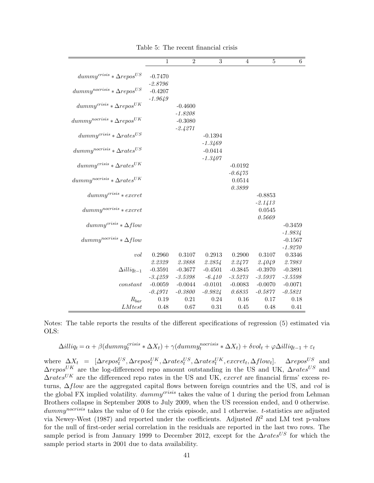|                                        | $\mathbf{1}$ | $\overline{2}$ | $\overline{3}$ | $\overline{4}$ | 5                | $\overline{6}$ |
|----------------------------------------|--------------|----------------|----------------|----------------|------------------|----------------|
|                                        |              |                |                |                |                  |                |
| $dummy^{crisis} * \Delta repos^{US}$   | $-0.7470$    |                |                |                |                  |                |
|                                        | $-2.8796$    |                |                |                |                  |                |
| $dummy^{nocrisis} * \Delta repos^{US}$ | $-0.4207$    |                |                |                |                  |                |
| $dumm y^{crisis} * \Delta repos^{UK}$  | $-1.9649$    | $-0.4600$      |                |                |                  |                |
|                                        |              | $-1.8208$      |                |                |                  |                |
| $dummy^{nocrisis} * \Delta repos^{UK}$ |              | $-0.3080$      |                |                |                  |                |
|                                        |              | $-2.4271$      |                |                |                  |                |
| $dummy^{crisis} * \Delta rates^{US}$   |              |                | $-0.1394$      |                |                  |                |
|                                        |              |                | $-1.3469$      |                |                  |                |
| $dummy^{nocrisis} * \Delta rates^{US}$ |              |                | $-0.0414$      |                |                  |                |
|                                        |              |                | $-1.3407$      |                |                  |                |
| $dummy^{crisis} * \Delta rates^{UK}$   |              |                |                | $-0.0192$      |                  |                |
|                                        |              |                |                | $-0.6475$      |                  |                |
| $dummy^{nocrisis} * \Delta rates^{UK}$ |              |                |                | 0.0514         |                  |                |
|                                        |              |                |                | 0.3899         |                  |                |
| $dummy^{crisis} * excret$              |              |                |                |                | $-0.8853$        |                |
| $dummy^{nocrisis} * excret$            |              |                |                |                | $-2.1413$        |                |
|                                        |              |                |                |                | 0.0545<br>0.5669 |                |
| $dummy^{crisis} * \Delta flow$         |              |                |                |                |                  | $-0.3459$      |
|                                        |              |                |                |                |                  | $-1.9834$      |
| $dummy^{norisis} * \Delta flow$        |              |                |                |                |                  | $-0.1567$      |
|                                        |              |                |                |                |                  | $-1.9270$      |
| vol                                    | 0.2960       | 0.3107         | 0.2913         | 0.2900         | 0.3107           | 0.3346         |
|                                        | 2.2329       | 2.3888         | 2.2854         | 2.2477         | 2.4049           | 2.7983         |
| $\Delta$ <i>illiq</i> <sub>t-1</sub>   | $-0.3591$    | $-0.3677$      | $-0.4501$      | $-0.3845$      | $-0.3970$        | $-0.3891$      |
|                                        | $-3.4259$    | $-3.5398$      | $-6.410$       | $-3.5273$      | $-3.5937$        | $-3.5598$      |
| constant                               | $-0.0059$    | $-0.0044$      | $-0.0101$      | $-0.0083$      | $-0.0070$        | $-0.0071$      |
|                                        | $-0.4971$    | $-0.3800$      | $-0.9824$      | 0.6835         | $-0.5877$        | $-0.5821$      |
| $R_{bar}$                              | 0.19         | 0.21           | 0.24           | 0.16           | 0.17             | 0.18           |
| LMtest                                 | 0.48         | 0.67           | 0.31           | 0.45           | 0.48             | 0.41           |

Table 5: The recent financial crisis

Notes: The table reports the results of the different specifications of regression (5) estimated via OLS:

$$
\Delta illiq_t = \alpha + \beta (dummy_t^{crisis} * \Delta X_t) + \gamma (dummy_t^{norisis} * \Delta X_t) + \delta vol_t + \varphi \Delta illiq_{t-1} + \varepsilon_t
$$

where  $\Delta X_t = [\Delta repos_t^{US}, \Delta repos_t^{UK}, \Delta rate_s^{US}, \Delta rate_s^{UK}, except, \Delta flow_t].$   $\Delta repos^{US}$  and  $\Delta repos^{UK}$  are the log-differenced repo amount outstanding in the US and UK,  $\Delta rate s^{US}$  and  $\Delta \text{rates}^{UK}$  are the differenced repo rates in the US and UK, excret are financial firms' excess returns,  $\Delta flow$  are the aggregated capital flows between foreign countries and the US, and vol is the global FX implied volatility.  $dummy^{crisis}$  takes the value of 1 during the period from Lehman Brothers collapse in September 2008 to July 2009, when the US recession ended, and 0 otherwise.  $dummy<sup>nocisis</sup>$  takes the value of 0 for the crisis episode, and 1 otherwise. t-statistics are adjusted via Newey-West (1987) and reported under the coefficients. Adjusted  $R^2$  and LM test p-values for the null of first-order serial correlation in the residuals are reported in the last two rows. The sample period is from January 1999 to December 2012, except for the  $\Delta \text{rates}^{US}$  for which the sample period starts in 2001 due to data availability.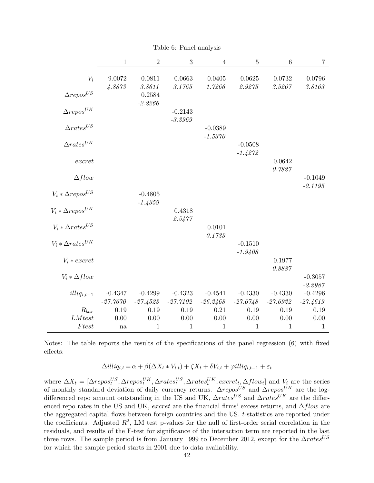|                                | $\mathbf 1$      | $\overline{2}$      | $\overline{3}$         | $\overline{4}$   | $\overline{5}$         | $\overline{6}$   | $\overline{7}$         |
|--------------------------------|------------------|---------------------|------------------------|------------------|------------------------|------------------|------------------------|
|                                |                  |                     |                        |                  |                        |                  |                        |
| $V_i$                          | 9.0072<br>4.8873 | 0.0811<br>3.8611    | 0.0663<br>3.1765       | 0.0405<br>1.7266 | 0.0625<br>2.9275       | 0.0732<br>3.5267 | 0.0796<br>3.8163       |
| $\Delta repos^{US}$            |                  | 0.2584<br>$-2.2266$ |                        |                  |                        |                  |                        |
| $\Delta repos^{UK}$            |                  |                     | $-0.2143$<br>$-3.3969$ |                  |                        |                  |                        |
| $\Delta rates^{US}$            |                  |                     |                        | $-0.0389$        |                        |                  |                        |
| $\Delta rates^{UK}$            |                  |                     |                        | $-1.5370$        | $-0.0508$<br>$-1.4272$ |                  |                        |
| $\ensuremath{\mathit{excret}}$ |                  |                     |                        |                  |                        | 0.0642           |                        |
| $\Delta flow$                  |                  |                     |                        |                  |                        | 0.7827           | $-0.1049$<br>$-2.1195$ |
| $V_i*\Delta repos^{US}$        |                  | $-0.4805$           |                        |                  |                        |                  |                        |
| $V_i * \Delta repos^{UK}$      |                  | $-1.4359$           | 0.4318<br>2.5477       |                  |                        |                  |                        |
| $V_i * \Delta rates^{US}$      |                  |                     |                        | 0.0101           |                        |                  |                        |
| $V_i*\Delta rates^{UK}$        |                  |                     |                        | 0.1733           | $-0.1510$<br>$-1.9408$ |                  |                        |
| $V_i * excret$                 |                  |                     |                        |                  |                        | 0.1977<br>0.8887 |                        |
| $V_i * \Delta flow$            |                  |                     |                        |                  |                        |                  | $-0.3057$<br>$-2.2987$ |
| $illiq_{i,t-1}$                | $-0.4347$        | $-0.4299$           | $-0.4323$              | $-0.4541$        | $-0.4330$              | $-0.4330$        | $-0.4296$              |
|                                | $-27.7670$       | $-27.4523$          | $-27.7102$             | $-26.2468$       | $-27.6748$             | $-27.6922$       | $-27.4619$             |
| $R_{bar}$                      | 0.19             | 0.19                | 0.19                   | 0.21             | 0.19                   | 0.19             | 0.19                   |
| LMtest                         | 0.00             | 0.00                | 0.00                   | $0.00\,$         | $0.00\,$               | 0.00             | 0.00                   |
| Ftest                          | na               | $\mathbf{1}$        | $\mathbf{1}$           | 1                | $\mathbf{1}$           | $\mathbf{1}$     | $\mathbf{1}$           |

Table 6: Panel analysis

Notes: The table reports the results of the specifications of the panel regression (6) with fixed effects:

$$
\Delta illiq_{i,t} = \alpha + \beta(\Delta X_t * V_{i,t}) + \zeta X_t + \delta V_{i,t} + \varphi illiq_{i,t-1} + \varepsilon_t
$$

where  $\Delta X_t = [\Delta repos_t^{US}, \Delta repos_t^{UK}, \Delta rate s_t^{US}, \Delta rate s_t^{UK}, exert_t, \Delta flow_t]$  and  $V_i$  are the series of monthly standard deviation of daily currency returns.  $\Delta repos^{US}$  and  $\Delta repos^{UK}$  are the logdifferenced repo amount outstanding in the US and UK,  $\Delta rates^{US}$  and  $\Delta rates^{UK}$  are the differenced repo rates in the US and UK, excret are the financial firms' excess returns, and  $\Delta flow$  are the aggregated capital flows between foreign countries and the US. t-statistics are reported under the coefficients. Adjusted  $R^2$ , LM test p-values for the null of first-order serial correlation in the residuals, and results of the F-test for significance of the interaction term are reported in the last three rows. The sample period is from January 1999 to December 2012, except for the  $\Delta rates^{US}$ for which the sample period starts in 2001 due to data availability.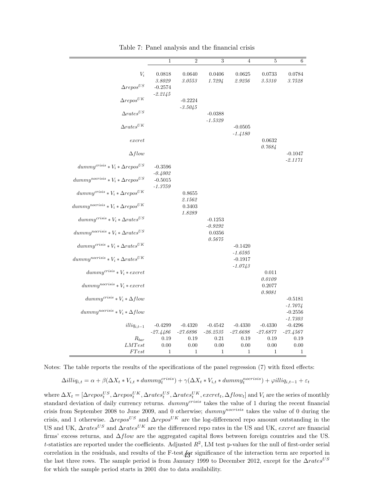|                                              | $\mathbf{1}$            | $\overline{2}$          | $\overline{3}$          | $\overline{4}$          | $\overline{5}$          | 6                       |
|----------------------------------------------|-------------------------|-------------------------|-------------------------|-------------------------|-------------------------|-------------------------|
| $V_i$                                        | 0.0818                  | 0.0640                  | 0.0406                  | 0.0625                  | 0.0733                  | 0.0784                  |
|                                              | 3.8029                  | $\it 3.0553$            | 1.7294                  | $\it 2.9256$            | $\it 3.5310$            | 3.7528                  |
| $\Delta repos^{US}$                          | $-0.2574$               |                         |                         |                         |                         |                         |
| $\Delta repos^{UK}$                          | $-2.2145$               | $-0.2224$               |                         |                         |                         |                         |
|                                              |                         | $-3.5045$               |                         |                         |                         |                         |
| $\Delta rates^{US}$                          |                         |                         | $-0.0388$               |                         |                         |                         |
|                                              |                         |                         | $-1.5329$               |                         |                         |                         |
| $\Delta rates^{UK}$                          |                         |                         |                         | $-0.0505$               |                         |                         |
|                                              |                         |                         |                         | $-1.4180$               |                         |                         |
| $\emph{excret}$                              |                         |                         |                         |                         | 0.0632                  |                         |
|                                              |                         |                         |                         |                         | 0.7684                  |                         |
| $\Delta flow$                                |                         |                         |                         |                         |                         | $-0.1047$<br>$-2.1171$  |
| $dummy^{crisis} * V_i * \Delta repos^{US}$   | $-0.3596$<br>$-0.4002$  |                         |                         |                         |                         |                         |
| $dummy^{nocisis} * V_i * \Delta repos^{US}$  | $-0.5015$<br>$-1.3759$  |                         |                         |                         |                         |                         |
| $dummy^{crisis} * V_i * \Delta repos^{UK}$   |                         | 0.8655<br>2.1562        |                         |                         |                         |                         |
| $dummy^{nocrisis} * V_i * \Delta repos^{UK}$ |                         | 0.3403<br>1.8289        |                         |                         |                         |                         |
| $dummy^{crisis} * V_i * \Delta rates^{US}$   |                         |                         | $-0.1253$<br>$-0.9292$  |                         |                         |                         |
| $dummy^{nocrisis} * V_i * \Delta rates^{US}$ |                         |                         | 0.0356<br>0.5675        |                         |                         |                         |
| $dummy^{crisis} * V_i * \Delta rates^{UK}$   |                         |                         |                         | $-0.1420$               |                         |                         |
|                                              |                         |                         |                         | $-1.6595$               |                         |                         |
| $dummy^{nocisis} * V_i * \Delta rates^{UK}$  |                         |                         |                         | $-0.1917$               |                         |                         |
|                                              |                         |                         |                         | $-1.0743$               |                         |                         |
| $dummy^{crisis} * V_i * excret$              |                         |                         |                         |                         | 0.011                   |                         |
|                                              |                         |                         |                         |                         | 0.0109                  |                         |
| $dummy^{nocrisis} * V_i * excret$            |                         |                         |                         |                         | 0.2077<br>0.9081        |                         |
| $dummy^{crisis} * V_i * \Delta flow$         |                         |                         |                         |                         |                         | $-0.5181$               |
|                                              |                         |                         |                         |                         |                         | $-1.7074$               |
| $dummy^{nocrisis} * V_i * \Delta flow$       |                         |                         |                         |                         |                         | $-0.2556$               |
|                                              |                         |                         |                         |                         |                         | $-1.7303$               |
| $illiq_{i,t-1}$                              | $-0.4299$<br>$-27.4486$ | $-0.4320$<br>$-27.6896$ | $-0.4542$<br>$-26.2535$ | $-0.4330$<br>$-27.6698$ | $-0.4330$<br>$-27.6877$ | $-0.4296$<br>$-27.4567$ |
| $R_{bar}$                                    | 0.19                    | 0.19                    | 0.21                    | 0.19                    | 0.19                    | 0.19                    |
| LMTest                                       | 0.00                    | 0.00                    | 0.00                    | $0.00\,$                | 0.00                    | 0.00                    |
| FTest                                        | $\mathbf{1}$            | $\mathbf{1}$            | $\mathbf{1}$            | $\mathbf{1}$            | $\mathbf{1}$            | 1                       |

Table 7: Panel analysis and the financial crisis

Notes: The table reports the results of the specifications of the panel regression (7) with fixed effects:

$$
\Delta illiq_{i,t} = \alpha + \beta(\Delta X_t * V_{i,t} * dummy_t^{crisis}) + \gamma(\Delta X_t * V_{i,t} * dummy_t^{norisis}) + \varphi illiq_{i,t-1} + \varepsilon_t
$$

where  $\Delta X_t = [\Delta repos_t^{US}, \Delta repos_t^{UK}, \Delta rate s_t^{US}, \Delta rate s_t^{UK}, excret_t, \Delta flow_t]$  and  $V_i$  are the series of monthly standard deviation of daily currency returns. dummy<sup>crisis</sup> takes the value of 1 during the recent financial crisis from September 2008 to June 2009, and 0 otherwise; dummy<sup>nocrisis</sup> takes the value of 0 during the crisis, and 1 otherwise.  $\Delta repos^{US}$  and  $\Delta repos^{UK}$  are the log-differenced repo amount outstanding in the US and UK,  $\Delta rates^{US}$  and  $\Delta rates^{UK}$  are the differenced repo rates in the US and UK, excret are financial firms' excess returns, and  $\Delta flow$  are the aggregated capital flows between foreign countries and the US. t-statistics are reported under the coefficients. Adjusted  $R^2$ , LM test p-values for the null of first-order serial correlation in the residuals, and results of the F-test  $f_3$  significance of the interaction term are reported in the last three rows. The sample period is from January 1999 to December 2012, except for the  $\Delta rates^{US}$ for which the sample period starts in 2001 due to data availability.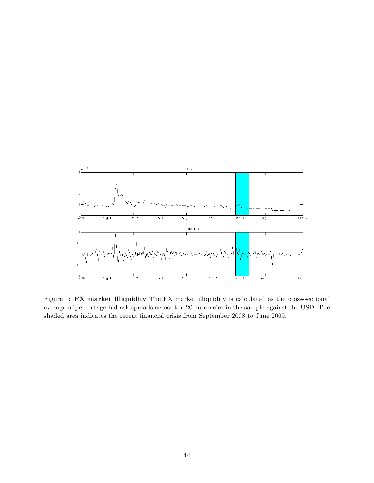

Figure 1: FX market illiquidity The FX market illiquidity is calculated as the cross-sectional average of percentage bid-ask spreads across the 20 currencies in the sample against the USD. The shaded area indicates the recent financial crisis from September 2008 to June 2009.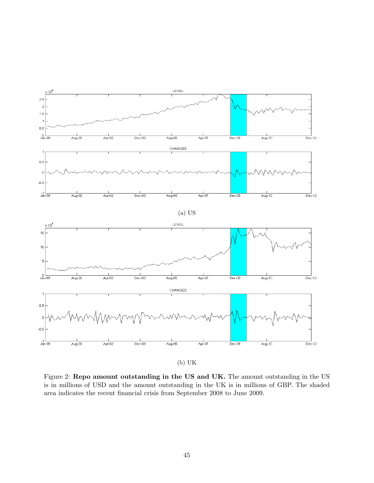

(b) UK

Figure 2: Repo amount outstanding in the US and UK. The amount outstanding in the US is in millions of USD and the amount outstanding in the UK is in millions of GBP. The shaded area indicates the recent financial crisis from September 2008 to June 2009.